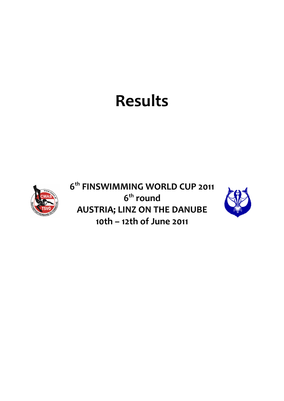# **Results**



**6 th FINSWIMMING WORLD CUP 2011 6 th round AUSTRIA; LINZ ON THE DANUBE 10th – 12th of June 2011**

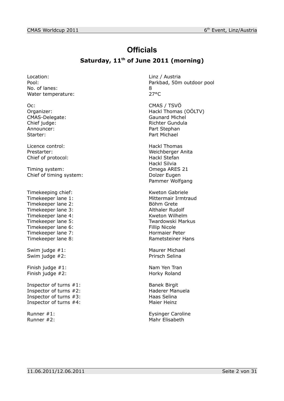# **Officials**

## **Saturday, 11th of June 2011 (morning)**

Location: Location: Linz / Austria No. of lanes: 8 Water temperature: 27°C

CMAS-Delegate: Announcer: Part Stephan Starter: Part Michael

Licence control: Hackl Thomas Chief of protocol: Hackl Stefan

Timing system: Omega ARES 21 Chief of timing system: Dolzer Eugen

Timekeeping chief: Kweton Gabriele Timekeeper lane 1: Mittermair Irmtraud<br>
Timekeeper lane 2: Söhm Grete Timekeeper lane 2: Timekeeper lane 3: Althaler Rudolf Timekeeper lane 4: Kweton Wilhelm<br>Timekeeper lane 5: Timekeeper lane 5: Timekeeper lane 6: Fillip Nicole Timekeeper lane 7: Normaier Peter Timekeeper lane 8: Rametsteiner Hans Swim judge #1: Maurer Michael

Finish judge #2: Horky Roland

Inspector of turns #1: Banek Birgit<br>
Inspector of turns #2: Banek Birgit<br>
Haderer Manuela Inspector of turns  $#2$ : Inspector of turns #3: Haas Selina Inspector of turns #4: Maier Heinz

Pool: Parkbad, 50m outdoor pool

Oc: CMAS / TSVÖ Organizer: Comparent Comparent Comparent Comparent Hackl Thomas (OÖLTV)<br>
CMAS-Delegate: CMAS-Delegate: Chief judge: Chief judge: Richter Gundula

Prestarter: Weichberger Anita Hackl Silvia Pammer Wolfgang

Twardowski Markus

Swim judge #2: Prirsch Selina

Finish judge #1: Nam Yen Tran

Runner #1: Eysinger Caroline Runner #2: Mahr Elisabeth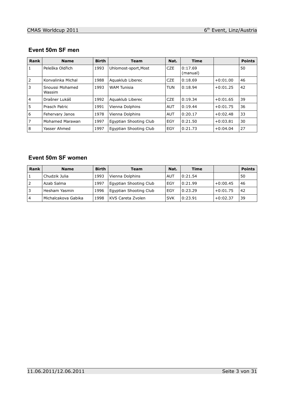#### **Event 50m SF men**

| Rank           | <b>Name</b>               | <b>Birth</b> | <b>Team</b>            | Nat.       | <b>Time</b>         |            | <b>Points</b> |
|----------------|---------------------------|--------------|------------------------|------------|---------------------|------------|---------------|
| 1              | Peleška Oldřich           | 1993         | Uhlomost-sport, Most   | <b>CZE</b> | 0:17.69<br>(manual) |            | 50            |
| 2              | Konvalinka Michal         | 1988         | Aguaklub Liberec       | <b>CZE</b> | 0:18.69             | $+0:01.00$ | 46            |
| 3              | Snoussi Mohamed<br>Wassim | 1993         | <b>WAM Tunisia</b>     | <b>TUN</b> | 0:18.94             | $+0:01.25$ | 42            |
| $\overline{4}$ | Drašner Lukáš             | 1992         | Aguaklub Liberec       | <b>CZE</b> | 0:19.34             | $+0:01.65$ | 39            |
| 5              | Prasch Patric             | 1991         | Vienna Dolphins        | <b>AUT</b> | 0:19.44             | $+0:01.75$ | 36            |
| 6              | Fehervary Janos           | 1978         | Vienna Dolphins        | <b>AUT</b> | 0:20.17             | $+0:02.48$ | 33            |
| $\overline{7}$ | Mohamed Marawan           | 1997         | Egyptian Shooting Club | EGY        | 0:21.50             | $+0:03.81$ | 30            |
| 8              | Yasser Ahmed              | 1997         | Egyptian Shooting Club | EGY        | 0:21.73             | $+0:04.04$ | 27            |

#### **Event 50m SF women**

| <b>Rank</b>    | <b>Name</b>         | <b>Birth</b> | Team                   | Nat.       | Time    |            | <b>Points</b> |
|----------------|---------------------|--------------|------------------------|------------|---------|------------|---------------|
|                | Chudzik Julia       | 1993         | Vienna Dolphins        | <b>AUT</b> | 0:21.54 |            | 50            |
| 2              | Azab Salma          | 1997         | Egyptian Shooting Club | EGY        | 0:21.99 | $+0:00.45$ | 46            |
| ΄3             | Hesham Yasmin       | 1996         | Egyptian Shooting Club | EGY        | 0:23.29 | $+0:01.75$ | 42            |
| $\overline{4}$ | Michalcakova Gabika | 1998         | KVS Careta Zvolen      | <b>SVK</b> | 0:23.91 | $+0:02.37$ | 39            |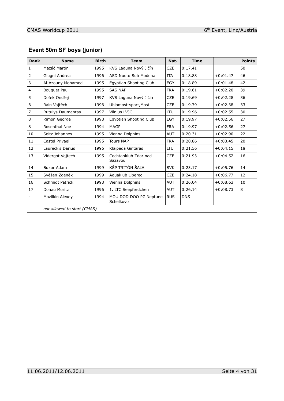# **Event 50m SF boys (junior)**

| <b>Rank</b>    | <b>Name</b>                 | <b>Birth</b> | <b>Team</b>                         | Nat.       | <b>Time</b> |            | <b>Points</b> |
|----------------|-----------------------------|--------------|-------------------------------------|------------|-------------|------------|---------------|
| $\mathbf{1}$   | Mazáč Martin                | 1995         | KVS Laguna Nový Jičín               | <b>CZE</b> | 0:17.41     |            | 50            |
| $\overline{2}$ | Giugni Andrea               | 1996         | ASD Nuoto Sub Modena                | <b>ITA</b> | 0:18.88     | $+0:01.47$ | 46            |
| 3              | Al-Azouny Mohamed           | 1995         | Egyptian Shooting Club              | EGY        | 0:18.89     | $+0:01.48$ | 42            |
| $\overline{4}$ | <b>Bouquet Paul</b>         | 1995         | <b>SAS NAP</b>                      | <b>FRA</b> | 0:19.61     | $+0:02.20$ | 39            |
| 5              | Dofek Ondřej                | 1997         | KVS Laguna Nový Jičín               | <b>CZE</b> | 0:19.69     | $+0:02.28$ | 36            |
| 6              | Rain Vojtěch                | 1996         | Uhlomost-sport, Most                | <b>CZE</b> | 0:19.79     | $+0:02.38$ | 33            |
| $\overline{7}$ | Rutulys Daumantas           | 1997         | Vilnius LVJC                        | LTU        | 0:19.96     | $+0:02.55$ | 30            |
| 8              | Rimon George                | 1998         | Egyptian Shooting Club              | EGY        | 0:19.97     | $+0:02.56$ | 27            |
| 8              | Rosenthal Noé               | 1994         | <b>MAGP</b>                         | <b>FRA</b> | 0:19.97     | $+0:02.56$ | 27            |
| 10             | Seitz Johannes              | 1995         | Vienna Dolphins                     | <b>AUT</b> | 0:20.31     | $+0:02.90$ | 22            |
| 11             | Castel Privael              | 1995         | <b>Tours NAP</b>                    | <b>FRA</b> | 0:20.86     | $+0:03.45$ | 20            |
| 12             | Laureckis Darius            | 1996         | Klaipeda Gintaras                   | LTU        | 0:21.56     | $+0:04.15$ | 18            |
| 13             | Vidergot Vojtech            | 1995         | Cochtanklub Zdar nad<br>Sazavou     | <b>CZE</b> | 0:21.93     | $+0:04.52$ | 16            |
| 14             | <b>Bukor Adam</b>           | 1999         | KŠP TRITÓN ŠAĽA                     | <b>SVK</b> | 0:23.17     | $+0:05.76$ | 14            |
| 15             | Svěžen Zdeněk               | 1999         | Aguaklub Liberec                    | <b>CZE</b> | 0:24.18     | $+0:06.77$ | 12            |
| 16             | Schmidt Patrick             | 1998         | Vienna Dolphins                     | <b>AUT</b> | 0:26.04     | $+0:08.63$ | 10            |
| 17             | Donau Moritz                | 1996         | 1. LTC Seepferdchen                 | <b>AUT</b> | 0:26.14     | $+0:08.73$ | 8             |
|                | Mazilkin Alexey             | 1994         | MOU DOD DOO PZ Neptune<br>Schelkovo | <b>RUS</b> | <b>DNS</b>  |            |               |
|                | not allowed to start (CMAS) |              |                                     |            |             |            |               |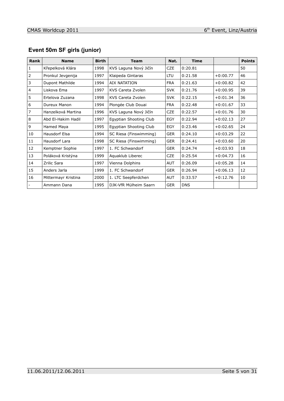# **Event 50m SF girls (junior)**

| <b>Rank</b>    | <b>Name</b>          | <b>Birth</b> | <b>Team</b>            | Nat.       | <b>Time</b> |            | <b>Points</b> |
|----------------|----------------------|--------------|------------------------|------------|-------------|------------|---------------|
| 1              | Křepelková Klára     | 1998         | KVS Laguna Nový Jičín  | <b>CZE</b> | 0:20.81     |            | 50            |
| $\overline{2}$ | Pronkul Jevgenija    | 1997         | Klaipeda Gintaras      | LTU        | 0:21.58     | $+0:00.77$ | 46            |
| 3              | Dupont Mathilde      | 1994         | <b>AIX NATATION</b>    | <b>FRA</b> | 0:21.63     | $+0:00.82$ | 42            |
| $\overline{4}$ | Liskova Ema          | 1997         | KVS Careta Zvolen      | <b>SVK</b> | 0:21.76     | $+0:00.95$ | 39            |
| 5              | Ertelova Zuzana      | 1998         | KVS Careta Zvolen      | <b>SVK</b> | 0:22.15     | $+0:01.34$ | 36            |
| 6              | Dureux Manon         | 1994         | Plongée Club Douai     | <b>FRA</b> | 0:22.48     | $+0:01.67$ | 33            |
| $\overline{7}$ | Hanzelková Martina   | 1996         | KVS Laguna Nový Jičín  | <b>CZE</b> | 0:22.57     | $+0:01.76$ | 30            |
| 8              | Abd El-Hakim Hadil   | 1997         | Egyptian Shooting Club | EGY        | 0:22.94     | $+0:02.13$ | 27            |
| 9              | Hamed Maya           | 1995         | Egyptian Shooting Club | EGY        | 0:23.46     | $+0:02.65$ | 24            |
| 10             | <b>Hausdorf Elsa</b> | 1994         | SC Riesa (Finswimming) | <b>GER</b> | 0:24.10     | $+0:03.29$ | 22            |
| 11             | Hausdorf Lara        | 1998         | SC Riesa (Finswimming) | <b>GER</b> | 0:24.41     | $+0:03.60$ | 20            |
| 12             | Kemptner Sophie      | 1997         | 1. FC Schwandorf       | <b>GER</b> | 0:24.74     | $+0:03.93$ | 18            |
| 13             | Poláková Kristýna    | 1999         | Aquaklub Liberec       | <b>CZE</b> | 0:25.54     | $+0:04.73$ | 16            |
| 14             | Zrilic Sara          | 1997         | Vienna Dolphins        | <b>AUT</b> | 0:26.09     | $+0:05.28$ | 14            |
| 15             | Anders Jarla         | 1999         | 1. FC Schwandorf       | <b>GER</b> | 0:26.94     | $+0:06.13$ | 12            |
| 16             | Mittermayr Kristina  | 2000         | 1. LTC Seepferdchen    | <b>AUT</b> | 0:33.57     | $+0:12.76$ | 10            |
|                | Ammann Dana          | 1995         | DJK-VfR Mülheim Saarn  | <b>GER</b> | <b>DNS</b>  |            |               |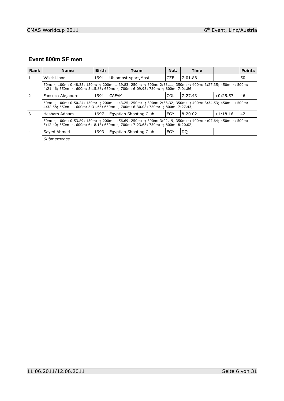# **Event 800m SF men**

| Rank | <b>Name</b>                                                                                                                                                                                       | <b>Birth</b> | <b>Team</b>            | Nat.       | Time    |            | <b>Points</b> |  |  |
|------|---------------------------------------------------------------------------------------------------------------------------------------------------------------------------------------------------|--------------|------------------------|------------|---------|------------|---------------|--|--|
|      | Válek Libor                                                                                                                                                                                       | 1991         | Uhlomost-sport, Most   | <b>CZE</b> | 7:01.86 |            | 50            |  |  |
|      | 50m: -; 100m: 0:48.35; 150m: -; 200m: 1:39.83; 250m: -; 300m: 2:33.11; 350m: -; 400m: 3:27.35; 450m: -; 500m:<br>4:21.46; 550m: -; 600m: 5:15.88; 650m: -; 700m: 6:09.93; 750m: -; 800m: 7:01.86; |              |                        |            |         |            |               |  |  |
|      | Fonseca Alejandro                                                                                                                                                                                 | 1991         | CAFAM                  | COL        | 7:27.43 | $+0:25.57$ | 46            |  |  |
|      | 50m: -; 100m: 0:50.24; 150m: -; 200m: 1:43.25; 250m: -; 300m: 2:38.32; 350m: -; 400m: 3:34.53; 450m: -; 500m:<br>4:32.58; 550m: -; 600m: 5:31.65; 650m: -; 700m: 6:30.08; 750m: -; 800m: 7:27.43; |              |                        |            |         |            |               |  |  |
|      | Hesham Adham                                                                                                                                                                                      | 1997         | Egyptian Shooting Club | EGY        | 8:20.02 | $+1:18.16$ | 42            |  |  |
|      | 50m: -; 100m: 0:53.89; 150m: -; 200m: 1:56.69; 250m: -; 300m: 3:02.19; 350m: -; 400m: 4:07.64; 450m: -; 500m:<br>5:12.40; 550m: -; 600m: 6:18.13; 650m: -; 700m: 7:23.63; 750m: -; 800m: 8:20.02; |              |                        |            |         |            |               |  |  |
|      | Sayed Ahmed                                                                                                                                                                                       | 1993         | Egyptian Shooting Club | EGY        | DQ      |            |               |  |  |
|      | Submergence                                                                                                                                                                                       |              |                        |            |         |            |               |  |  |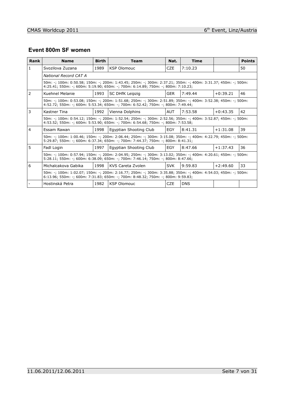#### **Event 800m SF women**

| Rank          | <b>Name</b>                                                                                                                                                                                       | <b>Birth</b> | <b>Team</b>                                                                                                                                                                                       | Nat.       | <b>Time</b> |            | <b>Points</b> |
|---------------|---------------------------------------------------------------------------------------------------------------------------------------------------------------------------------------------------|--------------|---------------------------------------------------------------------------------------------------------------------------------------------------------------------------------------------------|------------|-------------|------------|---------------|
| 1             | Svozilova Zuzana                                                                                                                                                                                  | 1989         | <b>KSP Olomouc</b>                                                                                                                                                                                | CZE.       | 7:10.23     |            | 50            |
|               | National Record CAT A                                                                                                                                                                             |              |                                                                                                                                                                                                   |            |             |            |               |
|               |                                                                                                                                                                                                   |              | 50m: -; 100m: 0:50.58; 150m: -; 200m: 1:43.45; 250m: -; 300m: 2:37.21; 350m: -; 400m: 3:31.37; 450m: -; 500m:<br>4:25.41; 550m: -; 600m: 5:19.90; 650m: -; 700m: 6:14.89; 750m: -; 800m: 7:10.23; |            |             |            |               |
| $\mathcal{L}$ | Kuehnel Melanie                                                                                                                                                                                   | 1993         | <b>SC DHfK Leipzig</b>                                                                                                                                                                            | GER        | 7:49.44     | $+0:39.21$ | 46            |
|               |                                                                                                                                                                                                   |              | 50m: -; 100m: 0:53.08; 150m: -; 200m: 1:51.68; 250m: -; 300m: 2:51.89; 350m: -; 400m: 3:52.38; 450m: -; 500m:<br>4:52.72: 550m: -: 600m: 5:53.34: 650m: -: 700m: 6:52.42: 750m: -: 800m: 7:49.44: |            |             |            |               |
| 3             | Kastner Tina                                                                                                                                                                                      | 1992         | Vienna Dolphins                                                                                                                                                                                   | <b>AUT</b> | 7:53.58     | $+0:43.35$ | 42            |
|               |                                                                                                                                                                                                   |              | 50m: -; 100m: 0:54.12; 150m: -; 200m: 1:52.54; 250m: -; 300m: 2:52.56; 350m: -; 400m: 3:52.87; 450m: -; 500m:<br>4:53.52; 550m: -; 600m: 5:53.90; 650m: -; 700m: 6:54.68; 750m: -; 800m: 7:53.58; |            |             |            |               |
| 4             | Essam Rawan                                                                                                                                                                                       | 1998         | Egyptian Shooting Club                                                                                                                                                                            | EGY        | 8:41.31     | $+1:31.08$ | 39            |
|               |                                                                                                                                                                                                   |              | 50m: -; 100m: 1:00.46; 150m: -; 200m: 2:06.44; 250m: -; 300m: 3:15.08; 350m: -; 400m: 4:22.79; 450m: -; 500m:<br>5:29.87; 550m: -; 600m: 6:37.34; 650m: -; 700m: 7:44.37; 750m: -; 800m: 8:41.31; |            |             |            |               |
| 5             | Fadl Login                                                                                                                                                                                        | 1997         | Egyptian Shooting Club                                                                                                                                                                            | EGY        | 8:47.66     | $+1:37.43$ | 36            |
|               |                                                                                                                                                                                                   |              | 50m: -; 100m: 0:57.94; 150m: -; 200m: 2:04.95; 250m: -; 300m: 3:13.02; 350m: -; 400m: 4:20.61; 450m: -; 500m:<br>5:28.11; 550m: -; 600m: 6:38.09; 650m: -; 700m: 7:46.14; 750m: -; 800m: 8:47.66; |            |             |            |               |
| 6             | Michalcakova Gabika                                                                                                                                                                               | 1998         | KVS Careta Zvolen                                                                                                                                                                                 | <b>SVK</b> | 9:59.83     | $+2:49.60$ | 33            |
|               | 50m: -; 100m: 1:02.07; 150m: -; 200m: 2:16.77; 250m: -; 300m: 3:35.88; 350m: -; 400m: 4:54.03; 450m: -; 500m:<br>6:13.96; 550m: -; 600m: 7:31.83; 650m: -; 700m: 8:48.32; 750m: -; 800m: 9:59.83; |              |                                                                                                                                                                                                   |            |             |            |               |
|               | Hostinská Petra                                                                                                                                                                                   | 1982         | <b>KSP Olomouc</b>                                                                                                                                                                                | CZE        | <b>DNS</b>  |            |               |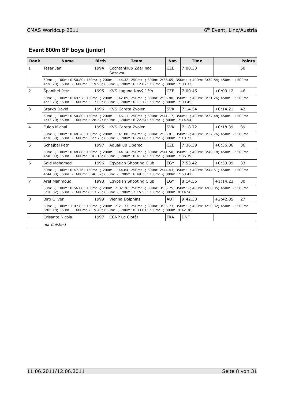# **Event 800m SF boys (junior)**

| Rank           | <b>Name</b>                                                                                                                                                                                       | <b>Birth</b> | <b>Team</b>                                                                                                                                                                                       | Nat.       | <b>Time</b> |            | <b>Points</b> |  |
|----------------|---------------------------------------------------------------------------------------------------------------------------------------------------------------------------------------------------|--------------|---------------------------------------------------------------------------------------------------------------------------------------------------------------------------------------------------|------------|-------------|------------|---------------|--|
| $\mathbf{1}$   | Tesar Jan                                                                                                                                                                                         | 1994         | Cochtanklub Zdar nad<br>Sazavou                                                                                                                                                                   | <b>CZE</b> | 7:00.33     |            | 50            |  |
|                |                                                                                                                                                                                                   |              | 50m: -; 100m: 0:50.80; 150m: -; 200m: 1:44.32; 250m: -; 300m: 2:38.65; 350m: -; 400m: 3:32.84; 450m: -; 500m:<br>4:26.20; 550m: -; 600m: 5:19.98; 650m: -; 700m: 6:12.87; 750m: -; 800m: 7:00.33; |            |             |            |               |  |
| $\overline{2}$ | Spanihel Petr                                                                                                                                                                                     | 1995         | KVS Laguna Nový Jičín                                                                                                                                                                             | <b>CZE</b> | 7:00.45     | $+0:00.12$ | 46            |  |
|                |                                                                                                                                                                                                   |              | 50m: -; 100m: 0:49.97; 150m: -; 200m: 1:42.89; 250m: -; 300m: 2:36.80; 350m: -; 400m: 3:31.26; 450m: -; 500m:<br>4:23.73; 550m: -; 600m: 5:17.09; 650m: -; 700m: 6:11.12; 750m: -; 800m: 7:00.45; |            |             |            |               |  |
| 3              | Starko David                                                                                                                                                                                      | 1996         | KVS Careta Zvolen                                                                                                                                                                                 | <b>SVK</b> | 7:14.54     | $+0:14.21$ | 42            |  |
|                |                                                                                                                                                                                                   |              | 50m: -; 100m: 0:50.80; 150m: -; 200m: 1:46.11; 250m: -; 300m: 2:41.17; 350m: -; 400m: 3:37.48; 450m: -; 500m:<br>4:33.70; 550m: -; 600m: 5:28.52; 650m: -; 700m: 6:22.54; 750m: -; 800m: 7:14.54; |            |             |            |               |  |
| $\overline{4}$ | <b>Fulop Michal</b>                                                                                                                                                                               | 1995         | KVS Careta Zvolen                                                                                                                                                                                 | <b>SVK</b> | 7:18.72     | $+0:18.39$ | 39            |  |
|                | 50m: -; 100m: 0:48.26; 150m: -; 200m: 1:41.88; 250m: -; 300m: 2:36.81; 350m: -; 400m: 3:32.76; 450m: -; 500m:<br>4:30.58; 550m: -; 600m: 5:27.73; 650m: -; 700m: 6:24.68; 750m: -; 800m: 7:18.72; |              |                                                                                                                                                                                                   |            |             |            |               |  |
| 5              | Schejbal Petr                                                                                                                                                                                     | 1997         | Aguaklub Liberec                                                                                                                                                                                  | <b>CZE</b> | 7:36.39     | $+0:36.06$ | 36            |  |
|                |                                                                                                                                                                                                   |              | 50m: -; 100m: 0:48.88; 150m: -; 200m: 1:44.14; 250m: -; 300m: 2:41.50; 350m: -; 400m: 3:40.18; 450m: -; 500m:<br>4:40.09; 550m: -; 600m: 5:41.18; 650m: -; 700m: 6:41.16; 750m: -; 800m: 7:36.39; |            |             |            |               |  |
| 6              | Said Mohamed                                                                                                                                                                                      | 1996         | Egyptian Shooting Club                                                                                                                                                                            | EGY        | 7:53.42     | $+0:53.09$ | 33            |  |
|                |                                                                                                                                                                                                   |              | 50m: -; 100m: 0:47.76; 150m: -; 200m: 1:44.84; 250m: -; 300m: 2:44.43; 350m: -; 400m: 3:44.51; 450m: -; 500m:<br>4:44.80; 550m: -; 600m: 5:46.57; 650m: -; 700m: 6:49.35; 750m: -; 800m: 7:53.42; |            |             |            |               |  |
| 7              | Aref Mahmoud                                                                                                                                                                                      | 1998         | Egyptian Shooting Club                                                                                                                                                                            | EGY        | 8:14.56     | $+1:14.23$ | 30            |  |
|                |                                                                                                                                                                                                   |              | 50m: -; 100m: 0:56.88; 150m: -; 200m: 2:02.26; 250m: -; 300m: 3:05.75; 350m: -; 400m: 4:08.05; 450m: -; 500m:<br>5:10.82; 550m: -; 600m: 6:13.73; 650m: -; 700m: 7:15.53; 750m: -; 800m: 8:14.56; |            |             |            |               |  |
| 8              | <b>Biro Oliver</b>                                                                                                                                                                                | 1999         | Vienna Dolphins                                                                                                                                                                                   | <b>AUT</b> | 9:42.38     | $+2:42.05$ | 27            |  |
|                |                                                                                                                                                                                                   |              | 50m: -; 100m: 1:07.85; 150m: -; 200m: 2:21.33; 250m: -; 300m: 3:35.73; 350m: -; 400m: 4:50.32; 450m: -; 500m:<br>6:05.18; 550m: -; 600m: 7:19.49; 650m: -; 700m: 8:33.01; 750m: -; 800m: 9:42.38; |            |             |            |               |  |
|                | Crisante Nicola                                                                                                                                                                                   | 1997         | CCNP La Ciotât                                                                                                                                                                                    | <b>FRA</b> | <b>DNF</b>  |            |               |  |
|                | not finished                                                                                                                                                                                      |              |                                                                                                                                                                                                   |            |             |            |               |  |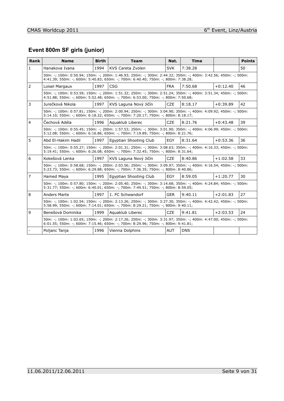# **Event 800m SF girls (junior)**

| Rank           | <b>Name</b>                                                                                                                                                                                       | <b>Birth</b> | <b>Team</b>                                                                                                                                                                                       | Nat.       | <b>Time</b> |            | <b>Points</b> |  |  |  |
|----------------|---------------------------------------------------------------------------------------------------------------------------------------------------------------------------------------------------|--------------|---------------------------------------------------------------------------------------------------------------------------------------------------------------------------------------------------|------------|-------------|------------|---------------|--|--|--|
| $\mathbf{1}$   | Hanakova Ivana                                                                                                                                                                                    | 1994         | KVS Careta Zvolen                                                                                                                                                                                 | <b>SVK</b> | 7:38.28     |            | 50            |  |  |  |
|                | 50m: -; 100m: 0:50.94; 150m: -; 200m: 1:46.93; 250m: -; 300m: 2:44.32; 350m: -; 400m: 3:42.56; 450m: -; 500m:<br>4:41.39; 550m: -; 600m: 5:40.83; 650m: -; 700m: 6:40.40; 750m: -; 800m: 7:38.28; |              |                                                                                                                                                                                                   |            |             |            |               |  |  |  |
| 2              | Loisel Margaux                                                                                                                                                                                    | 1997         | CSG                                                                                                                                                                                               | <b>FRA</b> | 7:50.68     | $+0:12.40$ | 46            |  |  |  |
|                |                                                                                                                                                                                                   |              | 50m: -; 100m: 0:53.59; 150m: -; 200m: 1:51.32; 250m: -; 300m: 2:51.24; 350m: -; 400m: 3:51.34; 450m: -; 500m:<br>4:51.88; 550m: -; 600m: 5:52.48; 650m: -; 700m: 6:53.00; 750m: -; 800m: 7:50.68; |            |             |            |               |  |  |  |
| 3              | Jurečková Nikola                                                                                                                                                                                  | 1997         | KVS Laguna Nový Jičín                                                                                                                                                                             | <b>CZE</b> | 8:18.17     | $+0:39.89$ | 42            |  |  |  |
|                |                                                                                                                                                                                                   |              | 50m: -; 100m: 0:57.81; 150m: -; 200m: 2:00.94; 250m: -; 300m: 3:04.90; 350m: -; 400m: 4:09.92; 450m: -; 500m:<br>5:14.10; 550m: -; 600m: 6:18.22; 650m: -; 700m: 7:20.17; 750m: -; 800m: 8:18.17; |            |             |            |               |  |  |  |
| $\overline{4}$ | Čechová Adéla                                                                                                                                                                                     | 1996         | Aguaklub Liberec                                                                                                                                                                                  | <b>CZE</b> | 8:21.76     | $+0:43.48$ | 39            |  |  |  |
|                |                                                                                                                                                                                                   |              | 50m: -; 100m: 0:55.45; 150m: -; 200m: 1:57.53; 250m: -; 300m: 3:01.90; 350m: -; 400m: 4:06.99; 450m: -; 500m:<br>5:12.08: 550m: -: 600m: 6:16.86: 650m: -: 700m: 7:19.89: 750m: -: 800m: 8:21.76: |            |             |            |               |  |  |  |
| 5              | Abd El-Hakim Hadil                                                                                                                                                                                | 1997         | Egyptian Shooting Club                                                                                                                                                                            | <b>EGY</b> | 8:31.64     | $+0:53.36$ | 36            |  |  |  |
|                |                                                                                                                                                                                                   |              | 50m: -; 100m: 0:55.27; 150m: -; 200m: 2:01.31; 250m: -; 300m: 3:08.63; 350m: -; 400m: 4:16.33; 450m: -; 500m:<br>5:19.41; 550m: -; 600m: 6:26.08; 650m: -; 700m: 7:32.45; 750m: -; 800m: 8:31.64; |            |             |            |               |  |  |  |
| 6              | Kokešová Lenka                                                                                                                                                                                    | 1997         | KVS Laguna Nový Jičín                                                                                                                                                                             | <b>CZE</b> | 8:40.86     | $+1:02.58$ | 33            |  |  |  |
|                |                                                                                                                                                                                                   |              | 50m: -; 100m: 0:58.68; 150m: -; 200m: 2:03.56; 250m: -; 300m: 3:09.97; 350m: -; 400m: 4:16.54; 450m: -; 500m:<br>5:23.73; 550m: -; 600m: 6:29.88; 650m: -; 700m: 7:36.35; 750m: -; 800m: 8:40.86; |            |             |            |               |  |  |  |
| $\overline{7}$ | Hamed Maya                                                                                                                                                                                        | 1995         | Egyptian Shooting Club                                                                                                                                                                            | EGY        | 8:59.05     | $+1:20.77$ | 30            |  |  |  |
|                |                                                                                                                                                                                                   |              | 50m: -; 100m: 0:57.80; 150m: -; 200m: 2:05.40; 250m: -; 300m: 3:14.68; 350m: -; 400m: 4:24.84; 450m: -; 500m:<br>5:31.77; 550m: -; 600m: 6:40.01; 650m: -; 700m: 7:49.51; 750m: -; 800m: 8:59.05; |            |             |            |               |  |  |  |
| 8              | <b>Anders Marte</b>                                                                                                                                                                               | 1997         | 1. FC Schwandorf                                                                                                                                                                                  | <b>GER</b> | 9:40.11     | $+2:01.83$ | 27            |  |  |  |
|                |                                                                                                                                                                                                   |              | 50m: -; 100m: 1:02.54; 150m: -; 200m: 2:13.26; 250m: -; 300m: 3:27.30; 350m: -; 400m: 4:42.42; 450m: -; 500m:<br>5:58.99; 550m: -; 600m: 7:14.01; 650m: -; 700m: 8:29.21; 750m: -; 800m: 9:40.11; |            |             |            |               |  |  |  |
| 9              | Benešová Dominika                                                                                                                                                                                 | 1999         | Aguaklub Liberec                                                                                                                                                                                  | <b>CZE</b> | 9:41.81     | $+2:03.53$ | 24            |  |  |  |
|                |                                                                                                                                                                                                   |              | 50m: -; 100m: 1:02.65; 150m: -; 200m: 2:17.26; 250m: -; 300m: 3:31.97; 350m: -; 400m: 4:47.00; 450m: -; 500m:<br>6:01.55; 550m: -; 600m: 7:15.46; 650m: -; 700m: 8:29.96; 750m: -; 800m: 9:41.81; |            |             |            |               |  |  |  |
|                | Poljanc Tanja                                                                                                                                                                                     | 1996         | Vienna Dolphins                                                                                                                                                                                   | <b>AUT</b> | <b>DNS</b>  |            |               |  |  |  |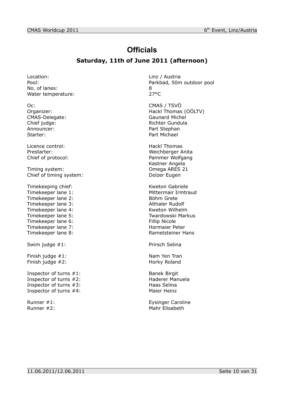# **Officials**

#### **Saturday, 11th of June 2011 (afternoon)**

Location: Location: Linz / Austria No. of lanes: 8 Water temperature: 27°C

Oc: CMAS / TSVÖ CMAS-Delegate: Announcer: Part Stephan Starter: Part Michael

Licence control: Hackl Thomas

Timing system: Omega ARES 21 Chief of timing system: Dolzer Eugen

Timekeeping chief: Kweton Gabriele Timekeeper lane 1: Mittermair Irmtraud Timekeeper lane 2: Böhm Grete Timekeeper lane 3: Althaler Rudolf Timekeeper lane 4: Kweton Wilhelm Timekeeper lane 5: Twardowski Markus Timekeeper lane 6: Fillip Nicole Timekeeper lane 7: Hormaier Peter Timekeeper lane 8: Timekeeper lane 8:

Swim judge #1: Prirsch Selina

Finish judge #1: Nam Yen Tran Finish judge #2: Horky Roland

Inspector of turns #1: Banek Birgit<br>
Inspector of turns #2: Banek Birgit<br>
Haderer Manuela Inspector of turns  $#2$ : Inspector of turns #3: Haas Selina Inspector of turns #4: Maier Heinz

Pool: Parkbad, 50m outdoor pool

Organizer: Comparent Comparent Comparent Comparent Hackl Thomas (OÖLTV)<br>
CMAS-Delegate: CMAS-Delegate: Chief judge: The Chief in the Chief in the Chief in the Richter Gundula

Prestarter: Weichberger Anita Chief of protocol: Pammer Wolfgang Kastner Angela

Runner #1: Eysinger Caroline Runner #2: Mahr Elisabeth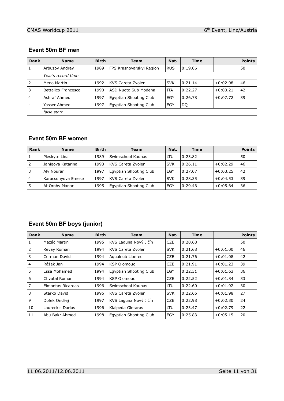#### **Event 50m BF men**

| Rank           | <b>Name</b>         | <b>Birth</b> | <b>Team</b>              | Nat.       | <b>Time</b> |            | <b>Points</b> |
|----------------|---------------------|--------------|--------------------------|------------|-------------|------------|---------------|
| 1              | Arbuzov Andrey      | 1989         | FPS Krasnoyarskyi Region | <b>RUS</b> | 0:19.06     |            | 50            |
|                | Year's record time  |              |                          |            |             |            |               |
| 2              | Medo Martin         | 1992         | KVS Careta Zvolen        | <b>SVK</b> | 0:21.14     | $+0:02.08$ | 46            |
| 3              | Bettalico Francesco | 1990         | ASD Nuoto Sub Modena     | <b>ITA</b> | 0:22.27     | $+0:03.21$ | 42            |
| $\overline{4}$ | Ashraf Ahmed        | 1997         | Egyptian Shooting Club   | EGY        | 0:26.78     | $+0:07.72$ | 39            |
|                | Yasser Ahmed        | 1997         | Egyptian Shooting Club   | EGY        | DQ          |            |               |
|                | false start         |              |                          |            |             |            |               |

#### **Event 50m BF women**

| <b>Rank</b>    | <b>Name</b>        | <b>Birth</b> | Team                   | Nat.       | <b>Time</b> |            | <b>Points</b> |
|----------------|--------------------|--------------|------------------------|------------|-------------|------------|---------------|
|                | Pleskyte Lina      | 1989         | Swimschool Kaunas      | LTU        | 0:23.82     |            | 50            |
| 2              | Janigova Katarina  | 1993         | KVS Careta Zvolen      | <b>SVK</b> | 0:26.11     | $+0:02.29$ | 46            |
| 3              | Aly Nouran         | 1997         | Egyptian Shooting Club | EGY        | 0:27.07     | $+0:03.25$ | 42            |
| $\overline{4}$ | Karacsonyova Emese | 1997         | KVS Careta Zvolen      | <b>SVK</b> | 0:28.35     | $+0:04.53$ | 39            |
| 5              | Al-Oraby Manar     | 1995         | Egyptian Shooting Club | EGY        | 0:29.46     | $+0:05.64$ | 36            |

# **Event 50m BF boys (junior)**

| Rank           | <b>Name</b>       | <b>Birth</b> | <b>Team</b>            | Nat.       | <b>Time</b> |            | <b>Points</b> |
|----------------|-------------------|--------------|------------------------|------------|-------------|------------|---------------|
| 1              | Mazáč Martin      | 1995         | KVS Laguna Nový Jičín  | <b>CZE</b> | 0:20.68     |            | 50            |
| 2              | Revay Roman       | 1994         | KVS Careta Zvolen      | <b>SVK</b> | 0:21.68     | $+0:01.00$ | 46            |
| 3              | Cerman David      | 1994         | Aguaklub Liberec       | <b>CZE</b> | 0:21.76     | $+0:01.08$ | 42            |
| $\overline{4}$ | Rážek Jan         | 1994         | <b>KSP Olomouc</b>     | <b>CZE</b> | 0:21.91     | $+0:01.23$ | 39            |
| 5              | Essa Mohamed      | 1994         | Egyptian Shooting Club | EGY        | 0:22.31     | $+0:01.63$ | 36            |
| 6              | Chvátal Roman     | 1994         | <b>KSP Olomouc</b>     | <b>CZE</b> | 0:22.52     | $+0:01.84$ | 33            |
| $\overline{7}$ | Eimontas Ricardas | 1996         | Swimschool Kaunas      | LTU        | 0:22.60     | $+0:01.92$ | 30            |
| 8              | Starko David      | 1996         | KVS Careta Zvolen      | <b>SVK</b> | 0:22.66     | $+0:01.98$ | 27            |
| 9              | Dofek Ondřej      | 1997         | KVS Laguna Nový Jičín  | <b>CZE</b> | 0:22.98     | $+0:02.30$ | 24            |
| 10             | Laureckis Darius  | 1996         | Klaipeda Gintaras      | LTU        | 0:23.47     | $+0:02.79$ | 22            |
| 11             | Abu Bakr Ahmed    | 1998         | Egyptian Shooting Club | EGY        | 0:25.83     | $+0:05.15$ | 20            |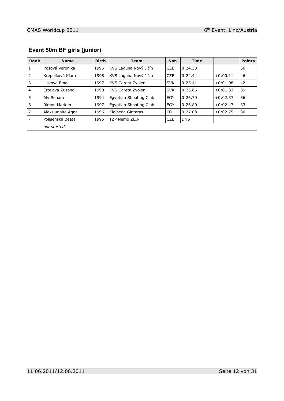# **Event 50m BF girls (junior)**

| Rank           | <b>Name</b>       | <b>Birth</b> | <b>Team</b>            | Nat.       | <b>Time</b> |            | <b>Points</b> |
|----------------|-------------------|--------------|------------------------|------------|-------------|------------|---------------|
| 1              | Rosová Veronika   | 1996         | KVS Laguna Nový Jičín  | <b>CZE</b> | 0:24.33     |            | 50            |
| 2              | Křepelková Klára  | 1998         | KVS Laguna Nový Jičín  | <b>CZE</b> | 0:24.44     | $+0:00.11$ | 46            |
| 3              | Liskova Ema       | 1997         | KVS Careta Zvolen      | <b>SVK</b> | 0:25.41     | $+0:01.08$ | 42            |
| $\overline{4}$ | Ertelova Zuzana   | 1998         | KVS Careta Zvolen      | <b>SVK</b> | 0:25.66     | $+0:01.33$ | 39            |
| 5              | Aly Reham         | 1994         | Egyptian Shooting Club | EGY        | 0:26.70     | $+0:02.37$ | 36            |
| 6              | Rimon Mariem      | 1997         | Egyptian Shooting Club | EGY        | 0:26.80     | $+0:02.47$ | 33            |
| 7              | Aleksiunaite Agne | 1996         | Klaipeda Gintaras      | <b>LTU</b> | 0:27.08     | $+0:02.75$ | 30            |
|                | Polisenska Beata  | 1995         | TZP Nemo ZLIN          | <b>CZE</b> | <b>DNS</b>  |            |               |
|                | not started       |              |                        |            |             |            |               |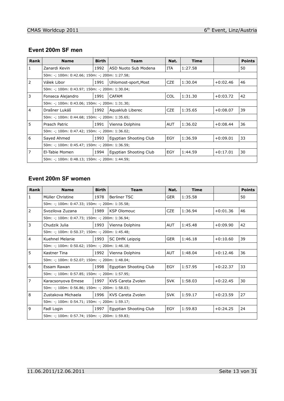#### **Event 200m SF men**

| <b>Rank</b> | <b>Name</b>                                    | <b>Birth</b>                                   | <b>Team</b>            | Nat.       | <b>Time</b> |            | <b>Points</b> |  |
|-------------|------------------------------------------------|------------------------------------------------|------------------------|------------|-------------|------------|---------------|--|
| 1           | Zanardi Kevin                                  | 1992                                           | ASD Nuoto Sub Modena   | <b>ITA</b> | 1:27.58     |            | 50            |  |
|             |                                                | 50m: -; 100m: 0:42.66; 150m: -; 200m: 1:27.58; |                        |            |             |            |               |  |
| 2           | Válek Libor                                    | 1991                                           | Uhlomost-sport, Most   | <b>CZE</b> | 1:30.04     | $+0:02.46$ | 46            |  |
|             | 50m: -; 100m: 0:43.97; 150m: -; 200m: 1:30.04; |                                                |                        |            |             |            |               |  |
| 3           | Fonseca Alejandro                              | 1991                                           | CAFAM                  | <b>COL</b> | 1:31.30     | $+0:03.72$ | 42            |  |
|             | 50m: -; 100m: 0:43.06; 150m: -; 200m: 1:31.30; |                                                |                        |            |             |            |               |  |
| 4           | Drašner Lukáš                                  | 1992                                           | Aguaklub Liberec       | <b>CZE</b> | 1:35.65     | $+0:08.07$ | 39            |  |
|             | 50m: -; 100m: 0:44.68; 150m: -; 200m: 1:35.65; |                                                |                        |            |             |            |               |  |
| 5           | Prasch Patric                                  | 1991                                           | Vienna Dolphins        | <b>AUT</b> | 1:36.02     | $+0:08.44$ | 36            |  |
|             | 50m: -; 100m: 0:47.42; 150m: -; 200m: 1:36.02; |                                                |                        |            |             |            |               |  |
| 6           | Sayed Ahmed                                    | 1993                                           | Egyptian Shooting Club | EGY        | 1:36.59     | $+0:09.01$ | 33            |  |
|             | 50m: -; 100m: 0:45.47; 150m: -; 200m: 1:36.59; |                                                |                        |            |             |            |               |  |
| 7           | El-Tabie Momen                                 | 1994                                           | Egyptian Shooting Club | EGY        | 1:44.59     | $+0:17.01$ | 30            |  |
|             | 50m: -; 100m: 0:48.13; 150m: -; 200m: 1:44.59; |                                                |                        |            |             |            |               |  |

#### **Event 200m SF women**

| Rank           | <b>Name</b>                                    | <b>Birth</b> | <b>Team</b>            | Nat.       | <b>Time</b> |            | <b>Points</b> |  |  |
|----------------|------------------------------------------------|--------------|------------------------|------------|-------------|------------|---------------|--|--|
| $\mathbf{1}$   | Müller Christine                               | 1978         | <b>Berliner TSC</b>    | <b>GER</b> | 1:35.58     |            | 50            |  |  |
|                | 50m: -; 100m: 0:47.33; 150m: -; 200m: 1:35.58; |              |                        |            |             |            |               |  |  |
| 2              | Svozilova Zuzana                               | 1989         | <b>KSP Olomouc</b>     | <b>CZE</b> | 1:36.94     | $+0:01.36$ | 46            |  |  |
|                | 50m: -; 100m: 0:47.73; 150m: -; 200m: 1:36.94; |              |                        |            |             |            |               |  |  |
| 3              | Chudzik Julia                                  | 1993         | Vienna Dolphins        | <b>AUT</b> | 1:45.48     | $+0:09.90$ | 42            |  |  |
|                | 50m: -; 100m: 0:50.37; 150m: -; 200m: 1:45.48; |              |                        |            |             |            |               |  |  |
| $\overline{4}$ | Kuehnel Melanie                                | 1993         | <b>SC DHfK Leipzig</b> | <b>GER</b> | 1:46.18     | $+0:10.60$ | 39            |  |  |
|                | 50m: -; 100m: 0:50.62; 150m: -; 200m: 1:46.18; |              |                        |            |             |            |               |  |  |
| 5              | Kastner Tina                                   | 1992         | Vienna Dolphins        | <b>AUT</b> | 1:48.04     | $+0:12.46$ | 36            |  |  |
|                | 50m: -; 100m: 0:52.07; 150m: -; 200m: 1:48.04; |              |                        |            |             |            |               |  |  |
| 6              | Essam Rawan                                    | 1998         | Egyptian Shooting Club | EGY        | 1:57.95     | $+0:22.37$ | 33            |  |  |
|                | 50m: -; 100m: 0:57.85; 150m: -; 200m: 1:57.95; |              |                        |            |             |            |               |  |  |
| $\overline{7}$ | Karacsonyova Emese                             | 1997         | KVS Careta Zvolen      | <b>SVK</b> | 1:58.03     | $+0:22.45$ | 30            |  |  |
|                | 50m: -; 100m: 0:56.86; 150m: -; 200m: 1:58.03; |              |                        |            |             |            |               |  |  |
| 8              | Zustakova Michaela                             | 1996         | KVS Careta Zvolen      | <b>SVK</b> | 1:59.17     | $+0:23.59$ | 27            |  |  |
|                | 50m: -; 100m: 0:54.71; 150m: -; 200m: 1:59.17; |              |                        |            |             |            |               |  |  |
| 9              | Fadl Login                                     | 1997         | Egyptian Shooting Club | EGY        | 1:59.83     | $+0:24.25$ | 24            |  |  |
|                | 50m: -; 100m: 0:57.74; 150m: -; 200m: 1:59.83; |              |                        |            |             |            |               |  |  |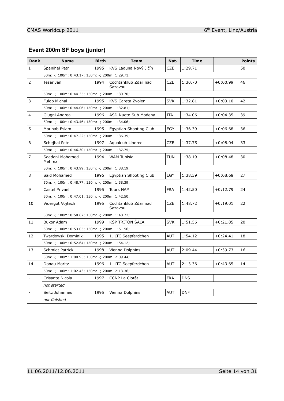# **Event 200m SF boys (junior)**

| <b>Rank</b>    | <b>Name</b>                                    | <b>Birth</b> | <b>Team</b>                     | Nat.       | <b>Time</b> |            | <b>Points</b> |
|----------------|------------------------------------------------|--------------|---------------------------------|------------|-------------|------------|---------------|
| $\mathbf{1}$   | Španihel Petr                                  | 1995         | KVS Laguna Nový Jičín           | <b>CZE</b> | 1:29.71     |            | 50            |
|                | 50m: -; 100m: 0:43.17; 150m: -; 200m: 1:29.71; |              |                                 |            |             |            |               |
| $\overline{2}$ | Tesar Jan                                      | 1994         | Cochtanklub Zdar nad<br>Sazavou | <b>CZE</b> | 1:30.70     | $+0:00.99$ | 46            |
|                | 50m: -; 100m: 0:44.35; 150m: -; 200m: 1:30.70; |              |                                 |            |             |            |               |
| 3              | <b>Fulop Michal</b>                            | 1995         | KVS Careta Zvolen               | <b>SVK</b> | 1:32.81     | $+0:03.10$ | 42            |
|                | 50m: -; 100m: 0:44.06; 150m: -; 200m: 1:32.81; |              |                                 |            |             |            |               |
| 4              | Giugni Andrea                                  | 1996         | ASD Nuoto Sub Modena            | ITA        | 1:34.06     | $+0:04.35$ | 39            |
|                | 50m: -; 100m: 0:43.46; 150m: -; 200m: 1:34.06; |              |                                 |            |             |            |               |
| 5              | Mouhab Eslam                                   | 1995         | Egyptian Shooting Club          | EGY        | 1:36.39     | $+0:06.68$ | 36            |
|                | 50m: -; 100m: 0:47.22; 150m: -; 200m: 1:36.39; |              |                                 |            |             |            |               |
| 6              | Schejbal Petr                                  | 1997         | Aguaklub Liberec                | <b>CZE</b> | 1:37.75     | $+0:08.04$ | 33            |
|                | 50m: -; 100m: 0:46.30; 150m: -; 200m: 1:37.75; |              |                                 |            |             |            |               |
| $\overline{7}$ | Saadani Mohamed<br>Mehrez                      | 1994         | WAM Tunisia                     | <b>TUN</b> | 1:38.19     | $+0:08.48$ | 30            |
|                | 50m: -; 100m: 0:43.99; 150m: -; 200m: 1:38.19; |              |                                 |            |             |            |               |
| 8              | Said Mohamed                                   | 1996         | Egyptian Shooting Club          | EGY        | 1:38.39     | $+0:08.68$ | 27            |
|                | 50m: -; 100m: 0:48.77; 150m: -; 200m: 1:38.39; |              |                                 |            |             |            |               |
| 9              | Castel Privael                                 | 1995         | <b>Tours NAP</b>                | <b>FRA</b> | 1:42.50     | $+0:12.79$ | 24            |
|                | 50m: -; 100m: 0:47.01; 150m: -; 200m: 1:42.50; |              |                                 |            |             |            |               |
| 10             | Vidergot Vojtech                               | 1995         | Cochtanklub Zdar nad<br>Sazavou | <b>CZE</b> | 1:48.72     | $+0:19.01$ | 22            |
|                | 50m: -; 100m: 0:50.67; 150m: -; 200m: 1:48.72; |              |                                 |            |             |            |               |
| 11             | <b>Bukor Adam</b>                              | 1999         | KŠP TRITÓN ŠAĽA                 | <b>SVK</b> | 1:51.56     | $+0:21.85$ | 20            |
|                | 50m: -; 100m: 0:53.05; 150m: -; 200m: 1:51.56; |              |                                 |            |             |            |               |
| 12             | Twardowski Dominik                             | 1995         | 1. LTC Seepferdchen             | <b>AUT</b> | 1:54.12     | $+0:24.41$ | 18            |
|                | 50m: -; 100m: 0:52.64; 150m: -; 200m: 1:54.12; |              |                                 |            |             |            |               |
| 13             | Schmidt Patrick                                | 1998         | Vienna Dolphins                 | AUT        | 2:09.44     | $+0:39.73$ | 16            |
|                | 50m: -; 100m: 1:00.95; 150m: -; 200m: 2:09.44; |              |                                 |            |             |            |               |
| 14             | Donau Moritz                                   | 1996         | 1. LTC Seepferdchen             | <b>AUT</b> | 2:13.36     | $+0:43.65$ | 14            |
|                | 50m: -; 100m: 1:02.43; 150m: -; 200m: 2:13.36; |              |                                 |            |             |            |               |
| $\overline{a}$ | Crisante Nicola                                | 1997         | CCNP La Ciotât                  | <b>FRA</b> | <b>DNS</b>  |            |               |
|                | not started                                    |              |                                 |            |             |            |               |
|                | Seitz Johannes                                 | 1995         | Vienna Dolphins                 | <b>AUT</b> | <b>DNF</b>  |            |               |
|                | not finished                                   |              |                                 |            |             |            |               |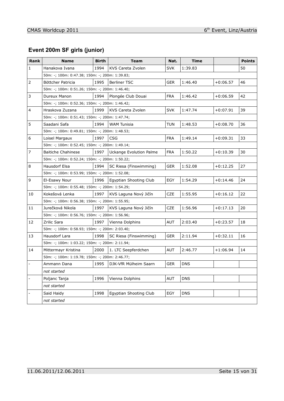# **Event 200m SF girls (junior)**

| Rank           | Name                                           | Birth | Team                    | Nat.       | Time       |            | <b>Points</b> |
|----------------|------------------------------------------------|-------|-------------------------|------------|------------|------------|---------------|
| $\mathbf{1}$   | Hanakova Ivana                                 | 1994  | KVS Careta Zvolen       | <b>SVK</b> | 1:39.83    |            | 50            |
|                | 50m: -; 100m: 0:47.38; 150m: -; 200m: 1:39.83; |       |                         |            |            |            |               |
| 2              | Böttcher Patricia                              | 1995  | <b>Berliner TSC</b>     | <b>GER</b> | 1:46.40    | $+0:06.57$ | 46            |
|                | 50m: -; 100m: 0:51.26; 150m: -; 200m: 1:46.40; |       |                         |            |            |            |               |
| 3              | Dureux Manon                                   | 1994  | Plongée Club Douai      | <b>FRA</b> | 1:46.42    | $+0:06.59$ | 42            |
|                | 50m: -; 100m: 0:52.36; 150m: -; 200m: 1:46.42; |       |                         |            |            |            |               |
| 4              | Hraskova Zuzana                                | 1999  | KVS Careta Zvolen       | <b>SVK</b> | 1:47.74    | $+0:07.91$ | 39            |
|                | 50m: -; 100m: 0:51.43; 150m: -; 200m: 1:47.74; |       |                         |            |            |            |               |
| 5              | Saadani Safa                                   | 1994  | <b>WAM Tunisia</b>      | <b>TUN</b> | 1:48.53    | $+0:08.70$ | 36            |
|                | 50m: -; 100m: 0:49.81; 150m: -; 200m: 1:48.53; |       |                         |            |            |            |               |
| 6              | Loisel Margaux                                 | 1997  | <b>CSG</b>              | <b>FRA</b> | 1:49.14    | $+0:09.31$ | 33            |
|                | 50m: -; 100m: 0:52.45; 150m: -; 200m: 1:49.14; |       |                         |            |            |            |               |
| 7              | <b>Baitiche Chahinese</b>                      | 1997  | Uckange Evolution Palme | <b>FRA</b> | 1:50.22    | $+0:10.39$ | 30            |
|                | 50m: -; 100m: 0:52.24; 150m: -; 200m: 1:50.22; |       |                         |            |            |            |               |
| 8              | Hausdorf Elsa                                  | 1994  | SC Riesa (Finswimming)  | <b>GER</b> | 1:52.08    | $+0:12.25$ | 27            |
|                | 50m: -; 100m: 0:53.99; 150m: -; 200m: 1:52.08; |       |                         |            |            |            |               |
| 9              | El-Esawy Nour                                  | 1996  | Egyptian Shooting Club  | EGY        | 1:54.29    | $+0:14.46$ | 24            |
|                | 50m: -; 100m: 0:55.48; 150m: -; 200m: 1:54.29; |       |                         |            |            |            |               |
| 10             | Kokešová Lenka                                 | 1997  | KVS Laguna Nový Jičín   | CZE        | 1:55.95    | $+0:16.12$ | 22            |
|                | 50m: -; 100m: 0:56.38; 150m: -; 200m: 1:55.95; |       |                         |            |            |            |               |
| 11             | Jurečková Nikola                               | 1997  | KVS Laguna Nový Jičín   | <b>CZE</b> | 1:56.96    | $+0:17.13$ | 20            |
|                | 50m: -; 100m: 0:56.76; 150m: -; 200m: 1:56.96; |       |                         |            |            |            |               |
| 12             | Zrilic Sara                                    | 1997  | Vienna Dolphins         | AUT        | 2:03.40    | $+0:23.57$ | 18            |
|                | 50m: -; 100m: 0:58.93; 150m: -; 200m: 2:03.40; |       |                         |            |            |            |               |
| 13             | Hausdorf Lara                                  | 1998  | SC Riesa (Finswimming)  | <b>GER</b> | 2:11.94    | $+0:32.11$ | 16            |
|                | 50m: -; 100m: 1:03.22; 150m: -; 200m: 2:11.94; |       |                         |            |            |            |               |
| 14             | Mittermayr Kristina                            | 2000  | 1. LTC Seepferdchen     | <b>AUT</b> | 2:46.77    | $+1:06.94$ | 14            |
|                | 50m: -; 100m: 1:19.78; 150m: -; 200m: 2:46.77; |       |                         |            |            |            |               |
| $\overline{a}$ | Ammann Dana                                    | 1995  | DJK-VfR Mülheim Saarn   | <b>GER</b> | <b>DNS</b> |            |               |
|                | not started                                    |       |                         |            |            |            |               |
| $\overline{a}$ | Poljanc Tanja                                  | 1996  | Vienna Dolphins         | AUT        | <b>DNS</b> |            |               |
|                | not started                                    |       |                         |            |            |            |               |
|                | Said Haidy                                     | 1998  | Egyptian Shooting Club  | EGY        | <b>DNS</b> |            |               |
|                | not started                                    |       |                         |            |            |            |               |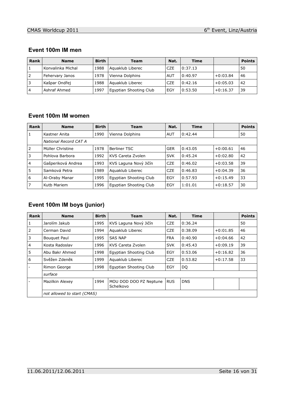#### **Event 100m IM men**

| <b>Rank</b>    | <b>Name</b>       | <b>Birth</b> | Team                   | Nat.       | <b>Time</b> |            | <b>Points</b> |
|----------------|-------------------|--------------|------------------------|------------|-------------|------------|---------------|
|                | Konvalinka Michal | 1988         | Aguaklub Liberec       | <b>CZE</b> | 0:37.13     |            | 50            |
| 2              | Fehervary Janos   | 1978         | Vienna Dolphins        | AUT        | 0:40.97     | $+0:03.84$ | 46            |
|                | Kašpar Ondřej     | 1988         | Aquaklub Liberec       | <b>CZE</b> | 0:42.16     | $+0:05.03$ | 42            |
| $\overline{4}$ | Ashraf Ahmed      | 1997         | Eqyptian Shooting Club | EGY        | 0:53.50     | $+0:16.37$ | 39            |

#### **Event 100m IM women**

| Rank           | <b>Name</b>           | <b>Birth</b> | <b>Team</b>            | Nat.       | <b>Time</b> |            | <b>Points</b> |  |  |
|----------------|-----------------------|--------------|------------------------|------------|-------------|------------|---------------|--|--|
| 1              | Kastner Anita         | 1990         | Vienna Dolphins        | AUT        | 0:42.44     |            | 50            |  |  |
|                | National Record CAT A |              |                        |            |             |            |               |  |  |
| 2              | Müller Christine      | 1978         | Berliner TSC           | <b>GER</b> | 0:43.05     | $+0:00.61$ | 46            |  |  |
| 3              | Pohlova Barbora       | 1992         | KVS Careta Zvolen      | <b>SVK</b> | 0:45.24     | $+0:02.80$ | 42            |  |  |
| $\overline{4}$ | Gašperiková Andrea    | 1993         | KVS Laguna Nový Jičín  | <b>CZE</b> | 0:46.02     | $+0:03.58$ | 39            |  |  |
| 5              | Samková Petra         | 1989         | Aguaklub Liberec       | <b>CZE</b> | 0:46.83     | $+0:04.39$ | 36            |  |  |
| 6              | Al-Oraby Manar        | 1995         | Egyptian Shooting Club | EGY        | 0:57.93     | $+0:15.49$ | 33            |  |  |
|                | Kutb Mariem           | 1996         | Egyptian Shooting Club | EGY        | 1:01.01     | $+0:18.57$ | 30            |  |  |

## **Event 100m IM boys (junior)**

| Rank           | <b>Name</b>                 | <b>Birth</b> | <b>Team</b>                         | Nat.       | <b>Time</b> |            | <b>Points</b> |
|----------------|-----------------------------|--------------|-------------------------------------|------------|-------------|------------|---------------|
| 1              | Jarolím Jakub               | 1995         | KVS Laguna Nový Jičín               | <b>CZE</b> | 0:36.24     |            | 50            |
| 2              | Cerman David                | 1994         | Aguaklub Liberec                    | <b>CZE</b> | 0:38.09     | $+0:01.85$ | 46            |
| 3              | <b>Bouguet Paul</b>         | 1995         | <b>SAS NAP</b>                      | <b>FRA</b> | 0:40.90     | $+0:04.66$ | 42            |
| $\overline{4}$ | Kosta Radoslav              | 1996         | KVS Careta Zvolen                   | <b>SVK</b> | 0:45.43     | $+0:09.19$ | 39            |
| 5              | Abu Bakr Ahmed              | 1998         | Egyptian Shooting Club              | EGY        | 0:53.06     | $+0:16.82$ | 36            |
| 6              | Svěžen Zdeněk               | 1999         | Aguaklub Liberec                    | <b>CZE</b> | 0:53.82     | $+0:17.58$ | 33            |
|                | Rimon George                | 1998         | Egyptian Shooting Club              | EGY        | DQ          |            |               |
|                | surface                     |              |                                     |            |             |            |               |
|                | Mazilkin Alexey             | 1994         | MOU DOD DOO PZ Neptune<br>Schelkovo | <b>RUS</b> | <b>DNS</b>  |            |               |
|                | not allowed to start (CMAS) |              |                                     |            |             |            |               |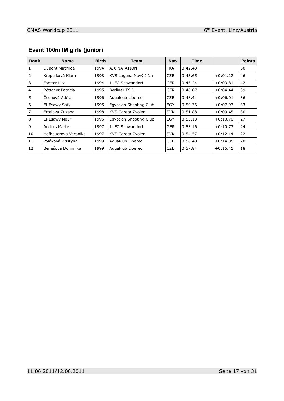|  |  | Event 100m IM girls (junior) |  |
|--|--|------------------------------|--|
|  |  |                              |  |

| <b>Rank</b>    | <b>Name</b>          | <b>Birth</b> | Team                   | Nat.       | <b>Time</b> |            | <b>Points</b> |
|----------------|----------------------|--------------|------------------------|------------|-------------|------------|---------------|
| $\mathbf{1}$   | Dupont Mathilde      | 1994         | AIX NATATION           | <b>FRA</b> | 0:42.43     |            | 50            |
| 2              | Křepelková Klára     | 1998         | KVS Laguna Nový Jičín  | <b>CZE</b> | 0:43.65     | $+0:01.22$ | 46            |
| 3              | Forster Lisa         | 1994         | 1. FC Schwandorf       | <b>GER</b> | 0:46.24     | $+0:03.81$ | 42            |
| $\overline{4}$ | Böttcher Patricia    | 1995         | Berliner TSC           | <b>GER</b> | 0:46.87     | $+0:04.44$ | 39            |
| 5              | Čechová Adéla        | 1996         | Aguaklub Liberec       | <b>CZE</b> | 0:48.44     | $+0:06.01$ | 36            |
| 6              | El-Esawy Safy        | 1995         | Egyptian Shooting Club | EGY        | 0:50.36     | $+0:07.93$ | 33            |
| $\overline{7}$ | Ertelova Zuzana      | 1998         | KVS Careta Zvolen      | <b>SVK</b> | 0:51.88     | $+0:09.45$ | 30            |
| 8              | El-Esawy Nour        | 1996         | Egyptian Shooting Club | EGY        | 0:53.13     | $+0:10.70$ | 27            |
| 9              | Anders Marte         | 1997         | 1. FC Schwandorf       | <b>GER</b> | 0:53.16     | $+0:10.73$ | 24            |
| 10             | Hofbauerova Veronika | 1997         | KVS Careta Zvolen      | <b>SVK</b> | 0:54.57     | $+0:12.14$ | 22            |
| 11             | Poláková Kristýna    | 1999         | Aguaklub Liberec       | <b>CZE</b> | 0:56.48     | $+0:14.05$ | 20            |
| 12             | Benešová Dominika    | 1999         | Aguaklub Liberec       | <b>CZE</b> | 0:57.84     | $+0:15.41$ | 18            |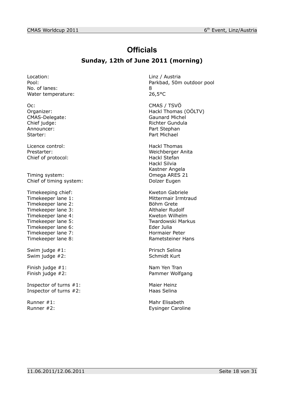# **Officials**

## **Sunday, 12th of June 2011 (morning)**

Location: Location: Linz / Austria No. of lanes: 8 Water temperature: 26,5°C

Oc: CMAS / TSVÖ CMAS-Delegate: Announcer: Part Stephan Starter: Part Michael

Licence control: Hackl Thomas Chief of protocol: Hackl Stefan

Timing system: Omega ARES 21 Chief of timing system: Dolzer Eugen

Timekeeping chief: Kweton Gabriele Timekeeper lane 1: Mittermair Irmtraud Timekeeper lane 2: Böhm Grete Timekeeper lane 3: Althaler Rudolf Timekeeper lane 4: Kweton Wilhelm<br>Timekeeper lane 5: Timekeeper lane 5: Timekeeper lane 6: Eder Julia Timekeeper lane 7: Hormaier Peter Timekeeper lane 8: Rametsteiner Hans

Swim judge #2: Schmidt Kurt

Finish judge #1: Nam Yen Tran

Inspector of turns #1: Maier Heinz<br>
Inspector of turns #2: Maier Heinz<br>
Haas Selina Inspector of turns  $#2$ :

Pool: Parkbad, 50m outdoor pool

Organizer: Comparent Comparent Comparent Comparent Hackl Thomas (OÖLTV)<br>
CMAS-Delegate: CMAS-Delegate: Chief judge: Chief judge: Richter Gundula

Prestarter: Weichberger Anita Hackl Silvia Kastner Angela

Twardowski Markus

Swim judge #1: Prirsch Selina

Finish judge #2: Pammer Wolfgang

Runner #1: Natural Mahr Elisabeth Runner #2: Eysinger Caroline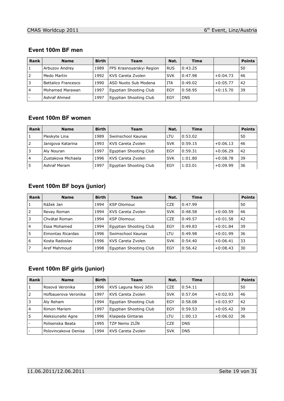#### **Event 100m BF men**

| <b>Rank</b>    | <b>Name</b>         | <b>Birth</b> | Team                     | Nat.       | Time       |            | <b>Points</b> |
|----------------|---------------------|--------------|--------------------------|------------|------------|------------|---------------|
|                | Arbuzov Andrey      | 1989         | FPS Krasnoyarskyi Region | <b>RUS</b> | 0:43.25    |            | 50            |
| 2              | Medo Martin         | 1992         | KVS Careta Zvolen        | <b>SVK</b> | 0:47.98    | $+0:04.73$ | 46            |
| 3              | Bettalico Francesco | 1990         | ASD Nuoto Sub Modena     | <b>ITA</b> | 0:49.02    | $+0:05.77$ | 42            |
| $\overline{4}$ | Mohamed Marawan     | 1997         | Eqyptian Shooting Club   | EGY        | 0:58.95    | $+0:15.70$ | 39            |
|                | Ashraf Ahmed        | 1997         | Egyptian Shooting Club   | EGY        | <b>DNS</b> |            |               |

## **Event 100m BF women**

| <b>Rank</b>    | <b>Name</b>        | <b>Birth</b> | <b>Team</b>            | Nat.       | Time    |            | <b>Points</b> |
|----------------|--------------------|--------------|------------------------|------------|---------|------------|---------------|
|                | Pleskyte Lina      | 1989         | Swimschool Kaunas      | LTU        | 0:53.02 |            | 50            |
| 2              | Janigova Katarina  | 1993         | KVS Careta Zvolen      | <b>SVK</b> | 0:59.15 | $+0:06.13$ | 46            |
| 3              | Aly Nouran         | 1997         | Egyptian Shooting Club | EGY        | 0:59.31 | $+0:06.29$ | 42            |
| $\overline{4}$ | Zustakova Michaela | 1996         | KVS Careta Zvolen      | <b>SVK</b> | 1:01.80 | $+0:08.78$ | 39            |
|                | Ashraf Meram       | 1997         | Egyptian Shooting Club | EGY        | 1:03.01 | $+0:09.99$ | 36            |

# **Event 100m BF boys (junior)**

| Rank           | <b>Name</b>       | <b>Birth</b> | <b>Team</b>            | Nat.       | <b>Time</b> |            | <b>Points</b> |
|----------------|-------------------|--------------|------------------------|------------|-------------|------------|---------------|
| 1              | Rážek Jan         | 1994         | <b>KSP Olomouc</b>     | <b>CZE</b> | 0:47.99     |            | 50            |
| 2              | Revay Roman       | 1994         | KVS Careta Zvolen      | <b>SVK</b> | 0:48.58     | $+0:00.59$ | 46            |
| 3              | Chvátal Roman     | 1994         | <b>KSP Olomouc</b>     | <b>CZE</b> | 0:49.57     | $+0:01.58$ | 42            |
| $\overline{4}$ | Essa Mohamed      | 1994         | Egyptian Shooting Club | EGY        | 0:49.83     | $+0:01.84$ | 39            |
| 5              | Eimontas Ricardas | 1996         | Swimschool Kaunas      | LTU        | 0:49.98     | $+0:01.99$ | 36            |
| 6              | Kosta Radoslav    | 1996         | KVS Careta Zvolen      | <b>SVK</b> | 0:54.40     | $+0:06.41$ | 33            |
| $\overline{7}$ | Aref Mahmoud      | 1998         | Egyptian Shooting Club | EGY        | 0:56.42     | $+0:08.43$ | 30            |

#### **Event 100m BF girls (junior)**

| Rank           | <b>Name</b>          | <b>Birth</b> | <b>Team</b>            | Nat.       | <b>Time</b> |            | <b>Points</b> |
|----------------|----------------------|--------------|------------------------|------------|-------------|------------|---------------|
|                | Rosová Veronika      | 1996         | KVS Laguna Nový Jičín  | <b>CZE</b> | 0:54.11     |            | 50            |
| 2              | Hofbauerova Veronika | 1997         | KVS Careta Zvolen      | <b>SVK</b> | 0:57.04     | $+0:02.93$ | 46            |
| 3              | Aly Reham            | 1994         | Egyptian Shooting Club | EGY        | 0:58.08     | $+0:03.97$ | 42            |
| $\overline{4}$ | Rimon Mariem         | 1997         | Egyptian Shooting Club | EGY        | 0:59.53     | $+0:05.42$ | 39            |
| 5              | Aleksiunaite Agne    | 1996         | Klaipeda Gintaras      | LTU        | 1:00.13     | $+0:06.02$ | 36            |
|                | Polisenska Beata     | 1995         | TZP Nemo ZLÍN          | <b>CZE</b> | <b>DNS</b>  |            |               |
|                | Polovincakova Denisa | 1994         | KVS Careta Zvolen      | <b>SVK</b> | <b>DNS</b>  |            |               |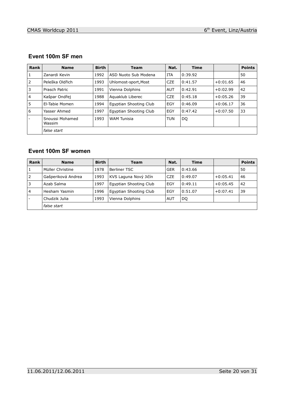| Rank           | <b>Name</b>               | <b>Birth</b> | <b>Team</b>            | Nat.       | <b>Time</b> |            | <b>Points</b> |
|----------------|---------------------------|--------------|------------------------|------------|-------------|------------|---------------|
| 1              | Zanardi Kevin             | 1992         | ASD Nuoto Sub Modena   | <b>ITA</b> | 0:39.92     |            | 50            |
| 2              | Peleška Oldřich           | 1993         | Uhlomost-sport, Most   | <b>CZE</b> | 0:41.57     | $+0:01.65$ | 46            |
| 3              | Prasch Patric             | 1991         | Vienna Dolphins        | <b>AUT</b> | 0:42.91     | $+0:02.99$ | 42            |
| $\overline{4}$ | Kašpar Ondřej             | 1988         | Aguaklub Liberec       | <b>CZE</b> | 0:45.18     | $+0:05.26$ | 39            |
| 5              | El-Tabie Momen            | 1994         | Egyptian Shooting Club | EGY        | 0:46.09     | $+0:06.17$ | 36            |
| 6              | Yasser Ahmed              | 1997         | Egyptian Shooting Club | EGY        | 0:47.42     | $+0:07.50$ | 33            |
|                | Snoussi Mohamed<br>Wassim | 1993         | <b>WAM Tunisia</b>     | <b>TUN</b> | DQ          |            |               |
|                | false start               |              |                        |            |             |            |               |

## **Event 100m SF men**

## **Event 100m SF women**

| <b>Rank</b>    | <b>Name</b>        | <b>Birth</b> | <b>Team</b>            | Nat.       | <b>Time</b> |            | <b>Points</b> |
|----------------|--------------------|--------------|------------------------|------------|-------------|------------|---------------|
|                | Müller Christine   | 1978         | Berliner TSC           | <b>GER</b> | 0:43.66     |            | 50            |
| 2              | Gašperiková Andrea | 1993         | KVS Laguna Nový Jičín  | <b>CZE</b> | 0:49.07     | $+0:05.41$ | 46            |
| 3              | Azab Salma         | 1997         | Egyptian Shooting Club | EGY        | 0:49.11     | $+0:05.45$ | 42            |
| $\overline{4}$ | Hesham Yasmin      | 1996         | Egyptian Shooting Club | EGY        | 0:51.07     | $+0:07.41$ | 39            |
|                | Chudzik Julia      | 1993         | Vienna Dolphins        | <b>AUT</b> | DQ          |            |               |
|                | false start        |              |                        |            |             |            |               |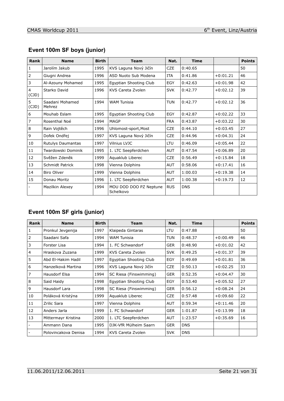| Rank                    | <b>Name</b>               | <b>Birth</b> | <b>Team</b>                         | Nat.       | <b>Time</b> |            | <b>Points</b> |
|-------------------------|---------------------------|--------------|-------------------------------------|------------|-------------|------------|---------------|
| $\mathbf{1}$            | Jarolím Jakub             | 1995         | KVS Laguna Nový Jičín               | <b>CZE</b> | 0:40.65     |            | 50            |
| $\mathbf 2$             | Giugni Andrea             | 1996         | ASD Nuoto Sub Modena                | <b>ITA</b> | 0:41.86     | $+0:01.21$ | 46            |
| $\mathsf{3}$            | Al-Azouny Mohamed         | 1995         | Egyptian Shooting Club              | EGY        | 0:42.63     | $+0:01.98$ | 42            |
| $\overline{4}$<br>(CJD) | Starko David              | 1996         | KVS Careta Zvolen                   | <b>SVK</b> | 0:42.77     | $+0:02.12$ | 39            |
| 5<br>(CJD)              | Saadani Mohamed<br>Mehrez | 1994         | <b>WAM Tunisia</b>                  | <b>TUN</b> | 0:42.77     | $+0:02.12$ | 36            |
| $\boldsymbol{6}$        | Mouhab Eslam              | 1995         | Egyptian Shooting Club              | <b>EGY</b> | 0:42.87     | $+0:02.22$ | 33            |
| $\overline{7}$          | Rosenthal Noé             | 1994         | <b>MAGP</b>                         | <b>FRA</b> | 0:43.87     | $+0:03.22$ | 30            |
| $\,8\,$                 | Rain Vojtěch              | 1996         | Uhlomost-sport, Most                | <b>CZE</b> | 0:44.10     | $+0:03.45$ | 27            |
| 9                       | Dofek Ondřej              | 1997         | KVS Laguna Nový Jičín               | <b>CZE</b> | 0:44.96     | $+0:04.31$ | 24            |
| 10                      | Rutulys Daumantas         | 1997         | Vilnius LVJC                        | <b>LTU</b> | 0:46.09     | $+0:05.44$ | 22            |
| 11                      | Twardowski Dominik        | 1995         | 1. LTC Seepferdchen                 | <b>AUT</b> | 0:47.54     | $+0:06.89$ | 20            |
| 12                      | Svěžen Zdeněk             | 1999         | Aquaklub Liberec                    | <b>CZE</b> | 0:56.49     | $+0:15.84$ | 18            |
| 13                      | Schmidt Patrick           | 1998         | Vienna Dolphins                     | <b>AUT</b> | 0:58.06     | $+0:17.41$ | 16            |
| 14                      | <b>Biro Oliver</b>        | 1999         | Vienna Dolphins                     | <b>AUT</b> | 1:00.03     | $+0:19.38$ | 14            |
| 15                      | Donau Moritz              | 1996         | 1. LTC Seepferdchen                 | <b>AUT</b> | 1:00.38     | $+0:19.73$ | 12            |
|                         | Mazilkin Alexey           | 1994         | MOU DOD DOO PZ Neptune<br>Schelkovo | <b>RUS</b> | <b>DNS</b>  |            |               |

## **Event 100m SF boys (junior)**

## **Event 100m SF girls (junior)**

| Rank           | <b>Name</b>          | <b>Birth</b> | <b>Team</b>            | Nat.       | <b>Time</b> |            | <b>Points</b> |
|----------------|----------------------|--------------|------------------------|------------|-------------|------------|---------------|
| 1              | Pronkul Jevgenija    | 1997         | Klaipeda Gintaras      | LTU        | 0:47.88     |            | 50            |
| 2              | Saadani Safa         | 1994         | <b>WAM Tunisia</b>     | <b>TUN</b> | 0:48.37     | $+0:00.49$ | 46            |
| 3              | Forster Lisa         | 1994         | 1. FC Schwandorf       | <b>GER</b> | 0:48.90     | $+0:01.02$ | 42            |
| $\overline{4}$ | Hraskova Zuzana      | 1999         | KVS Careta Zvolen      | <b>SVK</b> | 0:49.25     | $+0:01.37$ | 39            |
| 5              | Abd El-Hakim Hadil   | 1997         | Egyptian Shooting Club | <b>EGY</b> | 0:49.69     | $+0:01.81$ | 36            |
| 6              | Hanzelková Martina   | 1996         | KVS Laguna Nový Jičín  | <b>CZE</b> | 0:50.13     | $+0:02.25$ | 33            |
| $\overline{7}$ | <b>Hausdorf Elsa</b> | 1994         | SC Riesa (Finswimming) | <b>GER</b> | 0:52.35     | $+0:04.47$ | 30            |
| 8              | Said Haidy           | 1998         | Egyptian Shooting Club | <b>EGY</b> | 0:53.40     | $+0:05.52$ | 27            |
| 9              | Hausdorf Lara        | 1998         | SC Riesa (Finswimming) | <b>GER</b> | 0:56.12     | $+0:08.24$ | 24            |
| 10             | Poláková Kristýna    | 1999         | Aquaklub Liberec       | <b>CZE</b> | 0:57.48     | $+0:09.60$ | 22            |
| 11             | Zrilic Sara          | 1997         | Vienna Dolphins        | <b>AUT</b> | 0:59.34     | $+0:11.46$ | 20            |
| 12             | Anders Jarla         | 1999         | 1. FC Schwandorf       | <b>GER</b> | 1:01.87     | $+0:13.99$ | 18            |
| 13             | Mittermayr Kristina  | 2000         | 1. LTC Seepferdchen    | AUT        | 1:23.57     | $+0:35.69$ | 16            |
|                | Ammann Dana          | 1995         | DJK-VfR Mülheim Saarn  | <b>GER</b> | <b>DNS</b>  |            |               |
|                | Polovincakova Denisa | 1994         | KVS Careta Zvolen      | <b>SVK</b> | <b>DNS</b>  |            |               |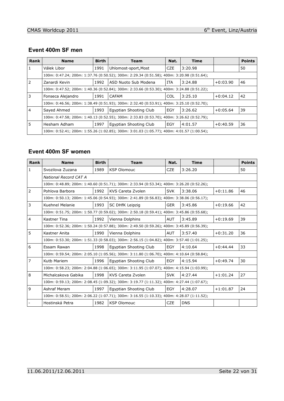#### **Event 400m SF men**

| Rank | <b>Name</b>                                                                               | <b>Birth</b> | Team                                                                                      | Nat.       | <b>Time</b> |            | <b>Points</b> |
|------|-------------------------------------------------------------------------------------------|--------------|-------------------------------------------------------------------------------------------|------------|-------------|------------|---------------|
|      | Válek Libor                                                                               | 1991         | Uhlomost-sport, Most                                                                      | <b>CZE</b> | 3:20.98     |            | 50            |
|      |                                                                                           |              | 100m: 0:47.24; 200m: 1:37.76 (0:50.52); 300m: 2:29.34 (0:51.58); 400m: 3:20.98 (0:51.64); |            |             |            |               |
| 2    | Zanardi Kevin                                                                             | 1992         | ASD Nuoto Sub Modena                                                                      | <b>ITA</b> | 3:24.88     | $+0:03.90$ | 46            |
|      |                                                                                           |              | 100m: 0:47.52; 200m: 1:40.36 (0:52.84); 300m: 2:33.66 (0:53.30); 400m: 3:24.88 (0:51.22); |            |             |            |               |
| 3    | Fonseca Alejandro                                                                         | 1991         | CAFAM                                                                                     | <b>COL</b> | 3:25.10     | $+0:04.12$ | 42            |
|      |                                                                                           |              | 100m: 0:46.56; 200m: 1:38.49 (0:51.93); 300m: 2:32.40 (0:53.91); 400m: 3:25.10 (0:52.70); |            |             |            |               |
|      | Sayed Ahmed                                                                               | 1993         | Egyptian Shooting Club                                                                    | EGY        | 3:26.62     | $+0:05.64$ | 39            |
|      | 100m: 0:47.58; 200m: 1:40.13 (0:52.55); 300m: 2:33.83 (0:53.70); 400m: 3:26.62 (0:52.79); |              |                                                                                           |            |             |            |               |
| 5    | Hesham Adham                                                                              | 1997         | Egyptian Shooting Club                                                                    | EGY        | 4:01.57     | $+0:40.59$ | 36            |
|      |                                                                                           |              | 100m: 0:52.41; 200m: 1:55.26 (1:02.85); 300m: 3:01.03 (1:05.77); 400m: 4:01.57 (1:00.54); |            |             |            |               |

### **Event 400m SF women**

| Rank           | <b>Name</b>                                                                               | <b>Birth</b> | <b>Team</b>                                                                               | Nat.       | <b>Time</b> |            | <b>Points</b> |
|----------------|-------------------------------------------------------------------------------------------|--------------|-------------------------------------------------------------------------------------------|------------|-------------|------------|---------------|
| $\mathbf{1}$   | Svozilova Zuzana                                                                          | 1989         | <b>KSP Olomouc</b>                                                                        | <b>CZE</b> | 3:26.20     |            | 50            |
|                | National Record CAT A                                                                     |              |                                                                                           |            |             |            |               |
|                |                                                                                           |              | 100m: 0:48.89; 200m: 1:40.60 (0:51.71); 300m: 2:33.94 (0:53.34); 400m: 3:26.20 (0:52.26); |            |             |            |               |
| $\overline{2}$ | Pohlova Barbora                                                                           | 1992         | KVS Careta Zvolen                                                                         | <b>SVK</b> | 3:38.06     | $+0:11.86$ | 46            |
|                |                                                                                           |              | 100m: 0:50.13; 200m: 1:45.06 (0:54.93); 300m: 2:41.89 (0:56.83); 400m: 3:38.06 (0:56.17); |            |             |            |               |
| 3              | <b>Kuehnel Melanie</b>                                                                    | 1993         | <b>SC DHfK Leipzig</b>                                                                    | GER        | 3:45.86     | $+0:19.66$ | 42            |
|                |                                                                                           |              | 100m: 0:51.75; 200m: 1:50.77 (0:59.02); 300m: 2:50.18 (0:59.41); 400m: 3:45.86 (0:55.68); |            |             |            |               |
| $\overline{4}$ | Kastner Tina                                                                              | 1992         | Vienna Dolphins                                                                           | <b>AUT</b> | 3:45.89     | $+0:19.69$ | 39            |
|                |                                                                                           |              | 100m: 0:52.36; 200m: 1:50.24 (0:57.88); 300m: 2:49.50 (0:59.26); 400m: 3:45.89 (0:56.39); |            |             |            |               |
| 5              | Kastner Anita                                                                             | 1990         | Vienna Dolphins                                                                           | <b>AUT</b> | 3:57.40     | $+0:31.20$ | 36            |
|                |                                                                                           |              | 100m: 0:53.30; 200m: 1:51.33 (0:58.03); 300m: 2:56.15 (1:04.82); 400m: 3:57.40 (1:01.25); |            |             |            |               |
| 6              | Essam Rawan                                                                               | 1998         | Egyptian Shooting Club                                                                    | <b>EGY</b> | 4:10.64     | $+0:44.44$ | 33            |
|                |                                                                                           |              | 100m: 0:59.54; 200m: 2:05.10 (1:05.56); 300m: 3:11.80 (1:06.70); 400m: 4:10.64 (0:58.84); |            |             |            |               |
| $\overline{7}$ | Kutb Mariem                                                                               | 1996         | Egyptian Shooting Club                                                                    | <b>EGY</b> | 4:15.94     | $+0:49.74$ | 30            |
|                |                                                                                           |              | 100m: 0:58.23; 200m: 2:04.88 (1:06.65); 300m: 3:11.95 (1:07.07); 400m: 4:15.94 (1:03.99); |            |             |            |               |
| 8              | Michalcakova Gabika                                                                       | 1998         | KVS Careta Zvolen                                                                         | <b>SVK</b> | 4:27.44     | $+1:01.24$ | 27            |
|                | 100m: 0:59.13; 200m: 2:08.45 (1:09.32); 300m: 3:19.77 (1:11.32); 400m: 4:27.44 (1:07.67); |              |                                                                                           |            |             |            |               |
| 9              | Ashraf Meram                                                                              | 1997         | Egyptian Shooting Club                                                                    | EGY        | 4:28.07     | $+1:01.87$ | 24            |
|                |                                                                                           |              | 100m: 0:58.51; 200m: 2:06.22 (1:07.71); 300m: 3:16.55 (1:10.33); 400m: 4:28.07 (1:11.52); |            |             |            |               |
|                | Hostinská Petra                                                                           | 1982         | <b>KSP Olomouc</b>                                                                        | <b>CZE</b> | <b>DNS</b>  |            |               |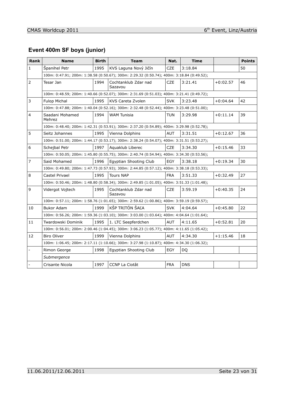# **Event 400m SF boys (junior)**

| <b>Rank</b>    | <b>Name</b>                                                                               | <b>Birth</b> | <b>Team</b>                                                                               | Nat.       | <b>Time</b> |            | <b>Points</b> |  |  |
|----------------|-------------------------------------------------------------------------------------------|--------------|-------------------------------------------------------------------------------------------|------------|-------------|------------|---------------|--|--|
| $\mathbf{1}$   | Španihel Petr                                                                             | 1995         | KVS Laguna Nový Jičín                                                                     | <b>CZE</b> | 3:18.84     |            | 50            |  |  |
|                |                                                                                           |              | 100m: 0:47.91; 200m: 1:38.58 (0:50.67); 300m: 2:29.32 (0:50.74); 400m: 3:18.84 (0:49.52); |            |             |            |               |  |  |
| $\overline{2}$ | Tesar Jan                                                                                 | 1994         | Cochtanklub Zdar nad<br>Sazavou                                                           | CZE        | 3:21.41     | $+0:02.57$ | 46            |  |  |
|                |                                                                                           |              | 100m: 0:48.59; 200m: 1:40.66 (0:52.07); 300m: 2:31.69 (0:51.03); 400m: 3:21.41 (0:49.72); |            |             |            |               |  |  |
| 3              | <b>Fulop Michal</b>                                                                       | 1995         | KVS Careta Zvolen                                                                         | <b>SVK</b> | 3:23.48     | $+0:04.64$ | 42            |  |  |
|                |                                                                                           |              | 100m: 0:47.88; 200m: 1:40.04 (0:52.16); 300m: 2:32.48 (0:52.44); 400m: 3:23.48 (0:51.00); |            |             |            |               |  |  |
| 4              | Saadani Mohamed<br>Mehrez                                                                 | 1994         | <b>WAM Tunisia</b>                                                                        | <b>TUN</b> | 3:29.98     | $+0:11.14$ | 39            |  |  |
|                |                                                                                           |              | 100m: 0:48.40; 200m: 1:42.31 (0:53.91); 300m: 2:37.20 (0:54.89); 400m: 3:29.98 (0:52.78); |            |             |            |               |  |  |
| 5              | Seitz Johannes                                                                            | 1995         | Vienna Dolphins                                                                           | <b>AUT</b> | 3:31.51     | $+0:12.67$ | 36            |  |  |
|                |                                                                                           |              | 100m: 0:51.00; 200m: 1:44.17 (0:53.17); 300m: 2:38.24 (0:54.07); 400m: 3:31.51 (0:53.27); |            |             |            |               |  |  |
| 6              | Schejbal Petr                                                                             | 1997         | Aguaklub Liberec                                                                          | CZE.       | 3:34.30     | $+0:15.46$ | 33            |  |  |
|                |                                                                                           |              | 100m: 0:50.05; 200m: 1:45.80 (0:55.75); 300m: 2:40.74 (0:54.94); 400m: 3:34.30 (0:53.56); |            |             |            |               |  |  |
| $\overline{7}$ | Said Mohamed                                                                              | 1996         | Egyptian Shooting Club                                                                    | <b>EGY</b> | 3:38.18     | $+0:19.34$ | 30            |  |  |
|                | 100m: 0:49.80; 200m: 1:47.73 (0:57.93); 300m: 2:44.85 (0:57.12); 400m: 3:38.18 (0:53.33); |              |                                                                                           |            |             |            |               |  |  |
| 8              | Castel Privael                                                                            | 1995         | <b>Tours NAP</b>                                                                          | <b>FRA</b> | 3:51.33     | $+0:32.49$ | 27            |  |  |
|                |                                                                                           |              | 100m: 0:50.46; 200m: 1:48.80 (0:58.34); 300m: 2:49.85 (1:01.05); 400m: 3:51.33 (1:01.48); |            |             |            |               |  |  |
| 9              | Vidergot Vojtech                                                                          | 1995         | Cochtanklub Zdar nad<br>Sazavou                                                           | CZE        | 3:59.19     | $+0:40.35$ | 24            |  |  |
|                |                                                                                           |              | 100m: 0:57.11; 200m: 1:58.76 (1:01.65); 300m: 2:59.62 (1:00.86); 400m: 3:59.19 (0:59.57); |            |             |            |               |  |  |
| 10             | Bukor Adam                                                                                | 1999         | KŠP TRITÓN ŠAĽA                                                                           | <b>SVK</b> | 4:04.64     | $+0:45.80$ | 22            |  |  |
|                |                                                                                           |              | 100m: 0:56.26; 200m: 1:59.36 (1:03.10); 300m: 3:03.00 (1:03.64); 400m: 4:04.64 (1:01.64); |            |             |            |               |  |  |
| 11             | Twardowski Dominik                                                                        | 1995         | 1. LTC Seepferdchen                                                                       | <b>AUT</b> | 4:11.65     | $+0:52.81$ | 20            |  |  |
|                |                                                                                           |              | 100m: 0:56.01; 200m: 2:00.46 (1:04.45); 300m: 3:06.23 (1:05.77); 400m: 4:11.65 (1:05.42); |            |             |            |               |  |  |
| 12             | <b>Biro Oliver</b>                                                                        | 1999         | Vienna Dolphins                                                                           | <b>AUT</b> | 4:34.30     | $+1:15.46$ | 18            |  |  |
|                |                                                                                           |              | 100m: 1:06.45; 200m: 2:17.11 (1:10.66); 300m: 3:27.98 (1:10.87); 400m: 4:34.30 (1:06.32); |            |             |            |               |  |  |
|                | Rimon George                                                                              | 1998         | Egyptian Shooting Club                                                                    | <b>EGY</b> | DQ          |            |               |  |  |
|                | Submergence                                                                               |              |                                                                                           |            |             |            |               |  |  |
|                | Crisante Nicola                                                                           | 1997         | <b>CCNP La Ciotât</b>                                                                     | <b>FRA</b> | <b>DNS</b>  |            |               |  |  |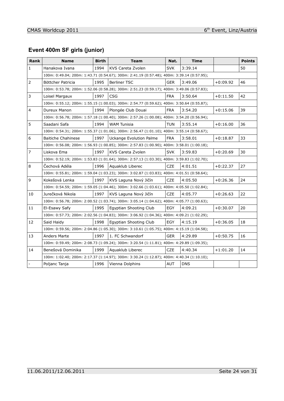# **Event 400m SF girls (junior)**

| <b>Rank</b>      | <b>Name</b>               | <b>Birth</b> | <b>Team</b>                                                                               | Nat.       | <b>Time</b> |            | <b>Points</b> |
|------------------|---------------------------|--------------|-------------------------------------------------------------------------------------------|------------|-------------|------------|---------------|
| $\mathbf{1}$     | Hanakova Ivana            | 1994         | KVS Careta Zvolen                                                                         | <b>SVK</b> | 3:39.14     |            | 50            |
|                  |                           |              | 100m: 0:49.04; 200m: 1:43.71 (0:54.67); 300m: 2:41.19 (0:57.48); 400m: 3:39.14 (0:57.95); |            |             |            |               |
| $\overline{2}$   | Böttcher Patricia         | 1995         | <b>Berliner TSC</b>                                                                       | <b>GER</b> | 3:49.06     | $+0:09.92$ | 46            |
|                  |                           |              | 100m: 0:53.78; 200m: 1:52.06 (0:58.28); 300m: 2:51.23 (0:59.17); 400m: 3:49.06 (0:57.83); |            |             |            |               |
| 3                | Loisel Margaux            | 1997         | <b>CSG</b>                                                                                | <b>FRA</b> | 3:50.64     | $+0:11.50$ | 42            |
|                  |                           |              | 100m: 0:55.12; 200m: 1:55.15 (1:00.03); 300m: 2:54.77 (0:59.62); 400m: 3:50.64 (0:55.87); |            |             |            |               |
| $\overline{4}$   | Dureux Manon              | 1994         | Plongée Club Douai                                                                        | <b>FRA</b> | 3:54.20     | $+0:15.06$ | 39            |
|                  |                           |              | 100m: 0:56.78; 200m: 1:57.18 (1:00.40); 300m: 2:57.26 (1:00.08); 400m: 3:54.20 (0:56.94); |            |             |            |               |
| 5                | Saadani Safa              | 1994         | <b>WAM Tunisia</b>                                                                        | TUN        | 3:55.14     | $+0:16.00$ | 36            |
|                  |                           |              | 100m: 0:54.31; 200m: 1:55.37 (1:01.06); 300m: 2:56.47 (1:01.10); 400m: 3:55.14 (0:58.67); |            |             |            |               |
| $\boldsymbol{6}$ | <b>Baitiche Chahinese</b> | 1997         | Uckange Evolution Palme                                                                   | <b>FRA</b> | 3:58.01     | $+0:18.87$ | 33            |
|                  |                           |              | 100m: 0:56.08; 200m: 1:56.93 (1:00.85); 300m: 2:57.83 (1:00.90); 400m: 3:58.01 (1:00.18); |            |             |            |               |
| $\overline{7}$   | Liskova Ema               | 1997         | KVS Careta Zvolen                                                                         | <b>SVK</b> | 3:59.83     | $+0:20.69$ | 30            |
|                  |                           |              | 100m: 0:52.19; 200m: 1:53.83 (1:01.64); 300m: 2:57.13 (1:03.30); 400m: 3:59.83 (1:02.70); |            |             |            |               |
| 8                | Čechová Adéla             | 1996         | Aguaklub Liberec                                                                          | <b>CZE</b> | 4:01.51     | $+0:22.37$ | 27            |
|                  |                           |              | 100m: 0:55.81; 200m: 1:59.04 (1:03.23); 300m: 3:02.87 (1:03.83); 400m: 4:01.51 (0:58.64); |            |             |            |               |
| 9                | Kokešová Lenka            | 1997         | KVS Laguna Nový Jičín                                                                     | <b>CZE</b> | 4:05.50     | $+0:26.36$ | 24            |
|                  |                           |              | 100m: 0:54.59; 200m: 1:59.05 (1:04.46); 300m: 3:02.66 (1:03.61); 400m: 4:05.50 (1:02.84); |            |             |            |               |
| 10               | Jurečková Nikola          | 1997         | KVS Laguna Nový Jičín                                                                     | <b>CZE</b> | 4:05.77     | $+0:26.63$ | 22            |
|                  |                           |              | 100m: 0:56.78; 200m: 2:00.52 (1:03.74); 300m: 3:05.14 (1:04.62); 400m: 4:05.77 (1:00.63); |            |             |            |               |
| 11               | El-Esawy Safy             | 1995         | Egyptian Shooting Club                                                                    | EGY        | 4:09.21     | $+0:30.07$ | 20            |
|                  |                           |              | 100m: 0:57.73; 200m: 2:02.56 (1:04.83); 300m: 3:06.92 (1:04.36); 400m: 4:09.21 (1:02.29); |            |             |            |               |
| 12               | Said Haidy                | 1998         | Egyptian Shooting Club                                                                    | <b>EGY</b> | 4:15.19     | $+0:36.05$ | 18            |
|                  |                           |              | 100m: 0:59.56; 200m: 2:04.86 (1:05.30); 300m: 3:10.61 (1:05.75); 400m: 4:15.19 (1:04.58); |            |             |            |               |
| 13               | <b>Anders Marte</b>       | 1997         | 1. FC Schwandorf                                                                          | <b>GER</b> | 4:29.89     | $+0:50.75$ | 16            |
|                  |                           |              | 100m: 0:59.49; 200m: 2:08.73 (1:09.24); 300m: 3:20.54 (1:11.81); 400m: 4:29.89 (1:09.35); |            |             |            |               |
| 14               | Benešová Dominika         | 1999         | Aquaklub Liberec                                                                          | <b>CZE</b> | 4:40.34     | $+1:01.20$ | 14            |
|                  |                           |              | 100m: 1:02.40; 200m: 2:17.37 (1:14.97); 300m: 3:30.24 (1:12.87); 400m: 4:40.34 (1:10.10); |            |             |            |               |
|                  | Poljanc Tanja             | 1996         | Vienna Dolphins                                                                           | <b>AUT</b> | <b>DNS</b>  |            |               |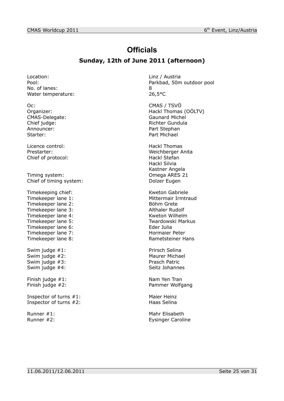# **Officials**

## **Sunday, 12th of June 2011 (afternoon)**

Location: Location: Linz / Austria No. of lanes: 8 Water temperature: 26,5°C

Oc: CMAS / TSVÖ CMAS-Delegate: Announcer: Part Stephan Starter: Part Michael

Licence control: Hackl Thomas Chief of protocol: Hackl Stefan

Timing system: Omega ARES 21 Chief of timing system: Dolzer Eugen

Timekeeping chief: Kweton Gabriele Timekeeper lane 1: Mittermair Irmtraud Timekeeper lane 2: Böhm Grete Timekeeper lane 3: Althaler Rudolf Timekeeper lane 4: Kweton Wilhelm<br>Timekeeper lane 5: Timekeeper lane 5: Timekeeper lane 6: Eder Julia Timekeeper lane 7: Hormaier Peter Timekeeper lane 8: Rametsteiner Hans

Swim judge #1: Prirsch Selina Swim judge #2: Maurer Michael Swim judge #3: Prasch Patric Swim judge #4: Swim judge #4:

Finish judge #1: Nam Yen Tran

Inspector of turns #1: Maier Heinz Inspector of turns #2: Haas Selina

Pool: Parkbad, 50m outdoor pool

Organizer: Comparent Comparent Comparent Comparent Hackl Thomas (OÖLTV)<br>
CMAS-Delegate: CMAS-Delegate: Chief judge: Chief judge: Richter Gundula

Prestarter: Weichberger Anita Hackl Silvia Kastner Angela

Twardowski Markus

Finish judge #2: Pammer Wolfgang

Runner #1: Natural Mahr Elisabeth Runner #2: Eysinger Caroline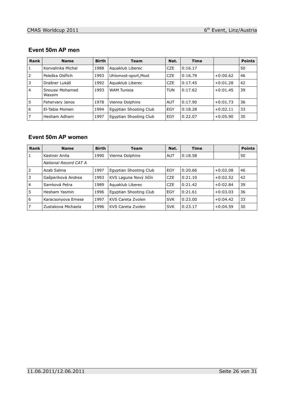#### **Event 50m AP men**

| Rank           | <b>Name</b>               | <b>Birth</b> | Team                   | Nat.       | <b>Time</b> |            | <b>Points</b> |
|----------------|---------------------------|--------------|------------------------|------------|-------------|------------|---------------|
| 1              | Konvalinka Michal         | 1988         | Aguaklub Liberec       | <b>CZE</b> | 0:16.17     |            | 50            |
| 2              | Peleška Oldřich           | 1993         | Uhlomost-sport, Most   | <b>CZE</b> | 0:16.79     | $+0:00.62$ | 46            |
| 3              | Drašner Lukáš             | 1992         | Aguaklub Liberec       | <b>CZE</b> | 0:17.45     | $+0:01.28$ | 42            |
| $\overline{4}$ | Snoussi Mohamed<br>Wassim | 1993         | <b>WAM Tunisia</b>     | <b>TUN</b> | 0:17.62     | $+0:01.45$ | 39            |
| 5              | Fehervary Janos           | 1978         | Vienna Dolphins        | <b>AUT</b> | 0:17.90     | $+0:01.73$ | 36            |
| 6              | El-Tabie Momen            | 1994         | Egyptian Shooting Club | EGY        | 0:18.28     | $+0:02.11$ | 33            |
|                | Hesham Adham              | 1997         | Egyptian Shooting Club | EGY        | 0:22.07     | $+0:05.90$ | 30            |

## **Event 50m AP women**

| Rank           | <b>Name</b>           | <b>Birth</b> | <b>Team</b>            | Nat.       | <b>Time</b> |            | <b>Points</b> |
|----------------|-----------------------|--------------|------------------------|------------|-------------|------------|---------------|
| $\mathbf{1}$   | Kastner Anita         | 1990         | Vienna Dolphins        | <b>AUT</b> | 0:18.58     |            | 50            |
|                | National Record CAT A |              |                        |            |             |            |               |
| 2              | Azab Salma            | 1997         | Egyptian Shooting Club | EGY        | 0:20.66     | $+0:02.08$ | 46            |
| 3              | Gašperiková Andrea    | 1993         | KVS Laguna Nový Jičín  | <b>CZE</b> | 0:21.10     | $+0:02.52$ | 42            |
| $\overline{4}$ | Samková Petra         | 1989         | Aguaklub Liberec       | <b>CZE</b> | 0:21.42     | $+0:02.84$ | 39            |
| 5              | Hesham Yasmin         | 1996         | Egyptian Shooting Club | EGY        | 0:21.61     | $+0:03.03$ | 36            |
| 6              | Karacsonyova Emese    | 1997         | KVS Careta Zvolen      | <b>SVK</b> | 0:23.00     | $+0:04.42$ | 33            |
| 7              | Zustakova Michaela    | 1996         | KVS Careta Zvolen      | <b>SVK</b> | 0:23.17     | $+0:04.59$ | 30            |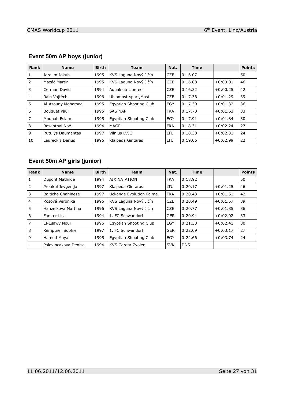| <b>Rank</b>    | <b>Name</b>              | <b>Birth</b> | <b>Team</b>            | Nat.       | <b>Time</b> |            | <b>Points</b> |
|----------------|--------------------------|--------------|------------------------|------------|-------------|------------|---------------|
| 1              | Jarolím Jakub            | 1995         | KVS Laguna Nový Jičín  | <b>CZE</b> | 0:16.07     |            | 50            |
| 2              | Mazáč Martin             | 1995         | KVS Laguna Nový Jičín  | <b>CZE</b> | 0:16.08     | $+0:00.01$ | 46            |
| 3              | Cerman David             | 1994         | Aguaklub Liberec       | <b>CZE</b> | 0:16.32     | $+0:00.25$ | 42            |
| $\overline{4}$ | Rain Voitěch             | 1996         | Uhlomost-sport, Most   | <b>CZE</b> | 0:17.36     | $+0:01.29$ | 39            |
| 5              | Al-Azouny Mohamed        | 1995         | Egyptian Shooting Club | EGY        | 0:17.39     | $+0:01.32$ | 36            |
| 6              | <b>Bouguet Paul</b>      | 1995         | <b>SAS NAP</b>         | <b>FRA</b> | 0:17.70     | $+0:01.63$ | 33            |
| $\overline{7}$ | Mouhab Eslam             | 1995         | Egyptian Shooting Club | EGY        | 0:17.91     | $+0:01.84$ | 30            |
| 8              | Rosenthal Noé            | 1994         | MAGP                   | <b>FRA</b> | 0:18.31     | $+0:02.24$ | 27            |
| 9              | <b>Rutulys Daumantas</b> | 1997         | Vilnius LVJC           | <b>LTU</b> | 0:18.38     | $+0:02.31$ | 24            |
| 10             | Laureckis Darius         | 1996         | Klaipeda Gintaras      | LTU        | 0:19.06     | $+0:02.99$ | 22            |

# **Event 50m AP boys (junior)**

# **Event 50m AP girls (junior)**

| Rank           | <b>Name</b>               | <b>Birth</b> | <b>Team</b>                    | Nat.       | <b>Time</b> |            | <b>Points</b> |
|----------------|---------------------------|--------------|--------------------------------|------------|-------------|------------|---------------|
| 1              | Dupont Mathilde           | 1994         | <b>AIX NATATION</b>            | <b>FRA</b> | 0:18.92     |            | 50            |
| 2              | Pronkul Jevgenija         | 1997         | Klaipeda Gintaras              | <b>LTU</b> | 0:20.17     | $+0:01.25$ | 46            |
| 3              | <b>Baitiche Chahinese</b> | 1997         | <b>Uckange Evolution Palme</b> | <b>FRA</b> | 0:20.43     | $+0:01.51$ | 42            |
| $\overline{4}$ | Rosová Veronika           | 1996         | KVS Laguna Nový Jičín          | <b>CZE</b> | 0:20.49     | $+0:01.57$ | 39            |
| 5              | Hanzelková Martina        | 1996         | KVS Laguna Nový Jičín          | <b>CZE</b> | 0:20.77     | $+0:01.85$ | 36            |
| 6              | Forster Lisa              | 1994         | 1. FC Schwandorf               | <b>GER</b> | 0:20.94     | $+0:02.02$ | 33            |
| $\overline{7}$ | El-Esawy Nour             | 1996         | Egyptian Shooting Club         | EGY        | 0:21.33     | $+0:02.41$ | 30            |
| 8              | Kemptner Sophie           | 1997         | 1. FC Schwandorf               | <b>GER</b> | 0:22.09     | $+0:03.17$ | 27            |
| 9              | Hamed Maya                | 1995         | Egyptian Shooting Club         | EGY        | 0:22.66     | $+0:03.74$ | 24            |
|                | Polovincakova Denisa      | 1994         | KVS Careta Zvolen              | <b>SVK</b> | <b>DNS</b>  |            |               |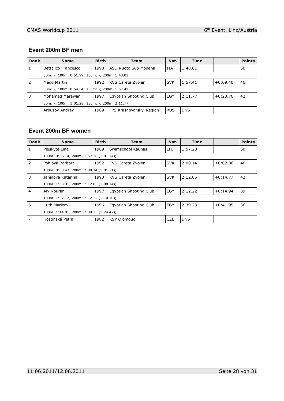#### **Event 200m BF men**

| Rank | <b>Name</b>                                    | <b>Birth</b> | <b>Team</b>              | Nat.       | <b>Time</b> |            | <b>Points</b> |
|------|------------------------------------------------|--------------|--------------------------|------------|-------------|------------|---------------|
|      | Bettalico Francesco                            | 1990         | ASD Nuoto Sub Modena     | ITA        | 1:48.01     |            | 50            |
|      | 50m: -; 100m: 0:51.99; 150m: -; 200m: 1:48.01; |              |                          |            |             |            |               |
| 2    | Medo Martin                                    | 1992         | KVS Careta Zvolen        | <b>SVK</b> | 1:57.41     | $+0:09.40$ | 46            |
|      | 50m: -; 100m: 0:54.54; 150m: -; 200m: 1:57.41; |              |                          |            |             |            |               |
| 3    | Mohamed Marawan                                | 1997         | Egyptian Shooting Club   | EGY        | 2:11.77     | $+0:23.76$ | 42            |
|      | 50m: -; 100m: 1:01.28; 150m: -; 200m: 2:11.77; |              |                          |            |             |            |               |
|      | Arbuzov Andrey                                 | 1989         | FPS Krasnovarskyi Region | <b>RUS</b> | <b>DNS</b>  |            |               |

#### **Event 200m BF women**

| Rank           | <b>Name</b>                             | <b>Birth</b> | Team                   | Nat.       | <b>Time</b> |            | <b>Points</b> |
|----------------|-----------------------------------------|--------------|------------------------|------------|-------------|------------|---------------|
| $\mathbf{1}$   | Pleskyte Lina                           | 1989         | Swimschool Kaunas      | LTU        | 1:57.28     |            | 50            |
|                | 100m: 0:56.14; 200m: 1:57.28 (1:01.14); |              |                        |            |             |            |               |
| $\overline{2}$ | Pohlova Barbora                         | 1992         | KVS Careta Zvolen      | <b>SVK</b> | 2:00.14     | $+0:02.86$ | 46            |
|                | 100m: 0:58.43; 200m: 2:00.14 (1:01.71); |              |                        |            |             |            |               |
| 3              | Janigova Katarina                       | 1993         | KVS Careta Zvolen      | <b>SVK</b> | 2:12.05     | $+0:14.77$ | 42            |
|                | 100m: 1:03.91; 200m: 2:12.05 (1:08.14); |              |                        |            |             |            |               |
| 4              | Aly Nouran                              | 1997         | Egyptian Shooting Club | EGY        | 2:12.22     | $+0:14.94$ | 39            |
|                | 100m: 1:02.12; 200m: 2:12.22 (1:10.10); |              |                        |            |             |            |               |
| 5              | Kutb Mariem                             | 1996         | Egyptian Shooting Club | EGY        | 2:39.23     | $+0:41.95$ | 36            |
|                | 100m: 1:14.81; 200m: 2:39.23 (1:24.42); |              |                        |            |             |            |               |
|                | Hostinská Petra                         | 1982         | <b>KSP Olomouc</b>     | CZE        | <b>DNS</b>  |            |               |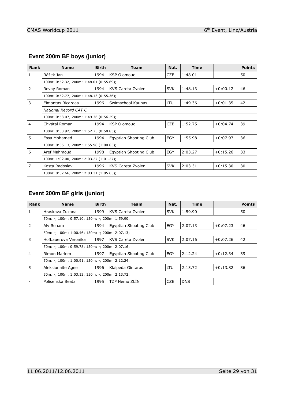| <b>Rank</b>    | <b>Name</b>                             | <b>Birth</b> | <b>Team</b>            | Nat.       | <b>Time</b> |            | <b>Points</b> |  |
|----------------|-----------------------------------------|--------------|------------------------|------------|-------------|------------|---------------|--|
| $\mathbf{1}$   | Rážek Jan                               | 1994         | <b>KSP Olomouc</b>     | <b>CZE</b> | 1:48.01     |            | 50            |  |
|                | 100m: 0:52.32; 200m: 1:48.01 (0:55.69); |              |                        |            |             |            |               |  |
| 2              | Revay Roman                             | 1994         | KVS Careta Zvolen      | <b>SVK</b> | 1:48.13     | $+0:00.12$ | 46            |  |
|                | 100m: 0:52.77; 200m: 1:48.13 (0:55.36); |              |                        |            |             |            |               |  |
| 3              | Eimontas Ricardas                       | 1996         | Swimschool Kaunas      | LTU        | 1:49.36     | $+0:01.35$ | 42            |  |
|                | National Record CAT C                   |              |                        |            |             |            |               |  |
|                | 100m: 0:53.07; 200m: 1:49.36 (0:56.29); |              |                        |            |             |            |               |  |
| $\overline{4}$ | Chyátal Roman                           | 1994         | <b>KSP Olomouc</b>     | <b>CZE</b> | 1:52.75     | $+0:04.74$ | 39            |  |
|                | 100m: 0:53.92; 200m: 1:52.75 (0:58.83); |              |                        |            |             |            |               |  |
| 5              | Essa Mohamed                            | 1994         | Egyptian Shooting Club | <b>EGY</b> | 1:55.98     | $+0:07.97$ | 36            |  |
|                | 100m: 0:55.13; 200m: 1:55.98 (1:00.85); |              |                        |            |             |            |               |  |
| 6              | Aref Mahmoud                            | 1998         | Egyptian Shooting Club | <b>EGY</b> | 2:03.27     | $+0:15.26$ | 33            |  |
|                | 100m: 1:02.00; 200m: 2:03.27 (1:01.27); |              |                        |            |             |            |               |  |
| $\overline{7}$ | Kosta Radoslav                          | 1996         | KVS Careta Zvolen      | <b>SVK</b> | 2:03.31     | $+0:15.30$ | 30            |  |
|                | 100m: 0:57.66; 200m: 2:03.31 (1:05.65); |              |                        |            |             |            |               |  |

## **Event 200m BF boys (junior)**

## **Event 200m BF girls (junior)**

| Rank           | <b>Name</b>                                    | <b>Birth</b> | Team                   | Nat.       | <b>Time</b> |            | <b>Points</b> |
|----------------|------------------------------------------------|--------------|------------------------|------------|-------------|------------|---------------|
|                | Hraskova Zuzana                                | 1999         | KVS Careta Zvolen      | <b>SVK</b> | 1:59.90     |            | 50            |
|                | 50m: -; 100m: 0:57.10; 150m: -; 200m: 1:59.90; |              |                        |            |             |            |               |
| $\overline{2}$ | Aly Reham                                      | 1994         | Egyptian Shooting Club | EGY        | 2:07.13     | $+0:07.23$ | 46            |
|                | 50m: -; 100m: 1:00.46; 150m: -; 200m: 2:07.13; |              |                        |            |             |            |               |
| 3              | Hofbauerova Veronika                           | 1997         | KVS Careta Zvolen      | <b>SVK</b> | 2:07.16     | $+0:07.26$ | 42            |
|                | 50m: -; 100m: 0:59.78; 150m: -; 200m: 2:07.16; |              |                        |            |             |            |               |
| $\overline{4}$ | Rimon Mariem                                   | 1997         | Egyptian Shooting Club | EGY        | 2:12.24     | $+0:12.34$ | 39            |
|                | 50m: -; 100m: 1:00.91; 150m: -; 200m: 2:12.24; |              |                        |            |             |            |               |
| 5              | Aleksiunaite Agne                              | 1996         | Klaipeda Gintaras      | <b>LTU</b> | 2:13.72     | $+0:13.82$ | 36            |
|                | 50m: -; 100m: 1:03.13; 150m: -; 200m: 2:13.72; |              |                        |            |             |            |               |
|                | Polisenska Beata                               | 1995         | TZP Nemo ZLIN          | <b>CZE</b> | <b>DNS</b>  |            |               |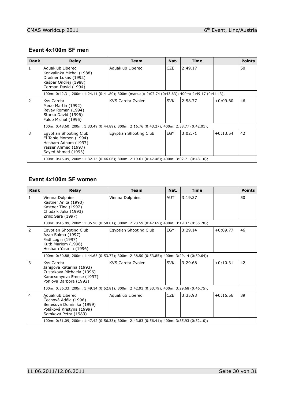## **Event 4x100m SF men**

| <b>Rank</b> | <b>Relay</b>                                                                                                        | <b>Team</b>            | Nat.       | Time    |            | <b>Points</b> |
|-------------|---------------------------------------------------------------------------------------------------------------------|------------------------|------------|---------|------------|---------------|
|             | Aguaklub Liberec<br>Konvalinka Michal (1988)<br>Drašner Lukáš (1992)<br>Kašpar Ondřej (1988)<br>Cerman David (1994) | Aguaklub Liberec       | <b>CZE</b> | 2:49.17 |            | 50            |
|             | 100m: 0:42.31; 200m: 1:24.11 (0:41.80); 300m (manual): 2:07.74 (0:43.63); 400m: 2:49.17 (0:41.43);                  |                        |            |         |            |               |
| 2           | Kys Careta<br>Medo Martin (1992)<br>Revay Roman (1994)<br>Starko David (1996)<br>Fulop Michal (1995)                | KVS Careta Zvolen      | <b>SVK</b> | 2:58.77 | $+0:09.60$ | 46            |
|             | 100m: 0:48.60; 200m: 1:33.49 (0:44.89); 300m: 2:16.76 (0:43.27); 400m: 2:58.77 (0:42.01);                           |                        |            |         |            |               |
| 3           | Egyptian Shooting Club<br>El-Tabie Momen (1994)<br>Hesham Adham (1997)<br>Yasser Ahmed (1997)<br>Sayed Ahmed (1993) | Egyptian Shooting Club | EGY        | 3:02.71 | $+0:13.54$ | 42            |
|             | 100m: 0:46.09; 200m: 1:32.15 (0:46.06); 300m: 2:19.61 (0:47.46); 400m: 3:02.71 (0:43.10);                           |                        |            |         |            |               |

#### **Event 4x100m SF women**

| Rank           | Relay                                                                                                                      | <b>Team</b>            | Nat.       | <b>Time</b> |            | <b>Points</b> |  |  |
|----------------|----------------------------------------------------------------------------------------------------------------------------|------------------------|------------|-------------|------------|---------------|--|--|
| $\mathbf{1}$   | Vienna Dolphins<br>Kastner Anita (1990)<br>Kastner Tina (1992)<br>Chudzik Julia (1993)<br>Zrilic Sara (1997)               | Vienna Dolphins        | <b>AUT</b> | 3:19.37     |            | 50            |  |  |
|                | 100m: 0:45.89; 200m: 1:35.90 (0:50.01); 300m: 2:23.59 (0:47.69); 400m: 3:19.37 (0:55.78);                                  |                        |            |             |            |               |  |  |
| $\overline{2}$ | Egyptian Shooting Club<br>Azab Salma (1997)<br>Fadl Login (1997)<br>Kutb Mariem (1996)<br>Hesham Yasmin (1996)             | Egyptian Shooting Club | EGY        | 3:29.14     | $+0:09.77$ | 46            |  |  |
|                | 100m: 0:50.88; 200m: 1:44.65 (0:53.77); 300m: 2:38.50 (0:53.85); 400m: 3:29.14 (0:50.64);                                  |                        |            |             |            |               |  |  |
| 3              | Kys Careta<br>Janigova Katarina (1993)<br>Zustakova Michaela (1996)<br>Karacsonyova Emese (1997)<br>Pohlova Barbora (1992) | KVS Careta Zvolen      | <b>SVK</b> | 3:29.68     | $+0:10.31$ | 42            |  |  |
|                | 100m: 0:56.33; 200m: 1:49.14 (0:52.81); 300m: 2:42.93 (0:53.79); 400m: 3:29.68 (0:46.75);                                  |                        |            |             |            |               |  |  |
| $\overline{4}$ | Aquaklub Liberec<br>Čechová Adéla (1996)<br>Benešová Dominika (1999)<br>Poláková Kristýna (1999)<br>Samková Petra (1989)   | Aquaklub Liberec       | <b>CZE</b> | 3:35.93     | $+0:16.56$ | 39            |  |  |
|                | 100m: 0:51.09; 200m: 1:47.42 (0:56.33); 300m: 2:43.83 (0:56.41); 400m: 3:35.93 (0:52.10);                                  |                        |            |             |            |               |  |  |